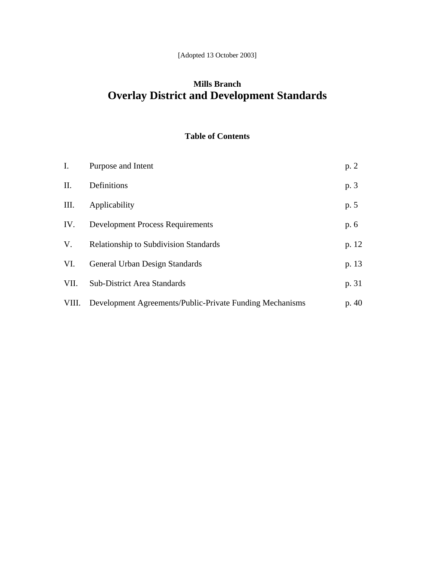## **Mills Branch Overlay District and Development Standards**

### **Table of Contents**

| I.    | Purpose and Intent                                       | p. 2  |
|-------|----------------------------------------------------------|-------|
| Π.    | Definitions                                              | p. 3  |
| Ш.    | Applicability                                            | p. 5  |
| IV.   | <b>Development Process Requirements</b>                  | p. 6  |
| V.    | <b>Relationship to Subdivision Standards</b>             | p. 12 |
| VI.   | General Urban Design Standards                           | p. 13 |
| VII.  | <b>Sub-District Area Standards</b>                       | p. 31 |
| VIII. | Development Agreements/Public-Private Funding Mechanisms | p.40  |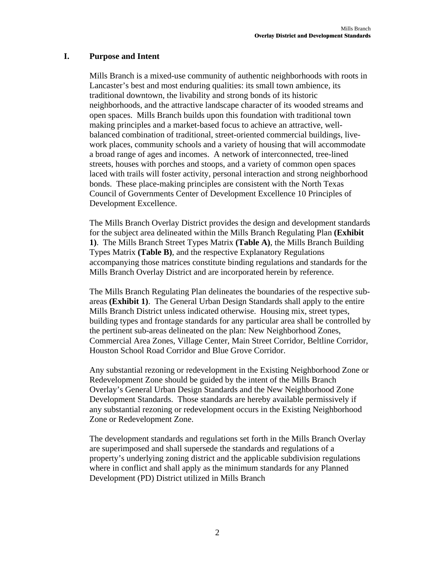### **I. Purpose and Intent**

Mills Branch is a mixed-use community of authentic neighborhoods with roots in Lancaster's best and most enduring qualities: its small town ambience, its traditional downtown, the livability and strong bonds of its historic neighborhoods, and the attractive landscape character of its wooded streams and open spaces. Mills Branch builds upon this foundation with traditional town making principles and a market-based focus to achieve an attractive, wellbalanced combination of traditional, street-oriented commercial buildings, livework places, community schools and a variety of housing that will accommodate a broad range of ages and incomes. A network of interconnected, tree-lined streets, houses with porches and stoops, and a variety of common open spaces laced with trails will foster activity, personal interaction and strong neighborhood bonds. These place-making principles are consistent with the North Texas Council of Governments Center of Development Excellence 10 Principles of Development Excellence.

The Mills Branch Overlay District provides the design and development standards for the subject area delineated within the Mills Branch Regulating Plan **(Exhibit 1)**. The Mills Branch Street Types Matrix **(Table A)**, the Mills Branch Building Types Matrix **(Table B)**, and the respective Explanatory Regulations accompanying those matrices constitute binding regulations and standards for the Mills Branch Overlay District and are incorporated herein by reference.

The Mills Branch Regulating Plan delineates the boundaries of the respective subareas **(Exhibit 1)**. The General Urban Design Standards shall apply to the entire Mills Branch District unless indicated otherwise. Housing mix, street types, building types and frontage standards for any particular area shall be controlled by the pertinent sub-areas delineated on the plan: New Neighborhood Zones, Commercial Area Zones, Village Center, Main Street Corridor, Beltline Corridor, Houston School Road Corridor and Blue Grove Corridor.

Any substantial rezoning or redevelopment in the Existing Neighborhood Zone or Redevelopment Zone should be guided by the intent of the Mills Branch Overlay's General Urban Design Standards and the New Neighborhood Zone Development Standards. Those standards are hereby available permissively if any substantial rezoning or redevelopment occurs in the Existing Neighborhood Zone or Redevelopment Zone.

The development standards and regulations set forth in the Mills Branch Overlay are superimposed and shall supersede the standards and regulations of a property's underlying zoning district and the applicable subdivision regulations where in conflict and shall apply as the minimum standards for any Planned Development (PD) District utilized in Mills Branch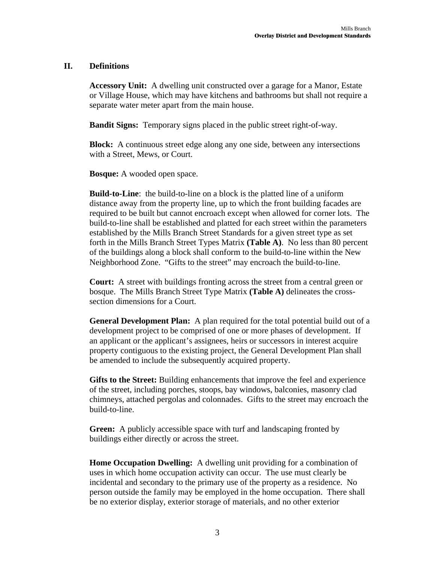### **II. Definitions**

**Accessory Unit:** A dwelling unit constructed over a garage for a Manor, Estate or Village House, which may have kitchens and bathrooms but shall not require a separate water meter apart from the main house.

**Bandit Signs:** Temporary signs placed in the public street right-of-way.

**Block:** A continuous street edge along any one side, between any intersections with a Street, Mews, or Court.

**Bosque:** A wooded open space.

**Build-to-Line**: the build-to-line on a block is the platted line of a uniform distance away from the property line, up to which the front building facades are required to be built but cannot encroach except when allowed for corner lots. The build-to-line shall be established and platted for each street within the parameters established by the Mills Branch Street Standards for a given street type as set forth in the Mills Branch Street Types Matrix **(Table A)**. No less than 80 percent of the buildings along a block shall conform to the build-to-line within the New Neighborhood Zone. "Gifts to the street" may encroach the build-to-line.

**Court:** A street with buildings fronting across the street from a central green or bosque. The Mills Branch Street Type Matrix **(Table A)** delineates the crosssection dimensions for a Court.

**General Development Plan:** A plan required for the total potential build out of a development project to be comprised of one or more phases of development. If an applicant or the applicant's assignees, heirs or successors in interest acquire property contiguous to the existing project, the General Development Plan shall be amended to include the subsequently acquired property.

**Gifts to the Street:** Building enhancements that improve the feel and experience of the street, including porches, stoops, bay windows, balconies, masonry clad chimneys, attached pergolas and colonnades. Gifts to the street may encroach the build-to-line.

**Green:** A publicly accessible space with turf and landscaping fronted by buildings either directly or across the street.

**Home Occupation Dwelling:** A dwelling unit providing for a combination of uses in which home occupation activity can occur. The use must clearly be incidental and secondary to the primary use of the property as a residence. No person outside the family may be employed in the home occupation. There shall be no exterior display, exterior storage of materials, and no other exterior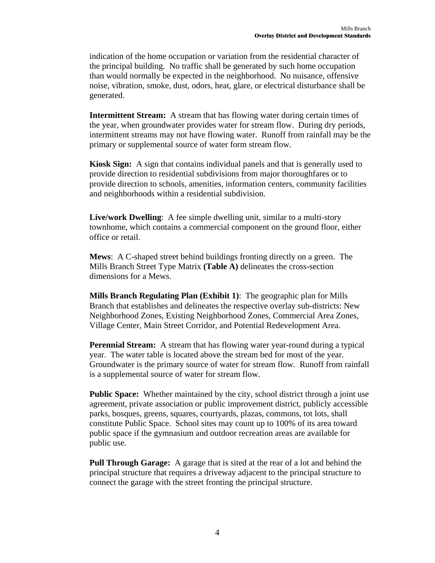indication of the home occupation or variation from the residential character of the principal building. No traffic shall be generated by such home occupation than would normally be expected in the neighborhood. No nuisance, offensive noise, vibration, smoke, dust, odors, heat, glare, or electrical disturbance shall be generated.

**Intermittent Stream:** A stream that has flowing water during certain times of the year, when groundwater provides water for stream flow. During dry periods, intermittent streams may not have flowing water. Runoff from rainfall may be the primary or supplemental source of water form stream flow.

**Kiosk Sign:** A sign that contains individual panels and that is generally used to provide direction to residential subdivisions from major thoroughfares or to provide direction to schools, amenities, information centers, community facilities and neighborhoods within a residential subdivision.

**Live/work Dwelling**: A fee simple dwelling unit, similar to a multi-story townhome, which contains a commercial component on the ground floor, either office or retail.

**Mews**: A C-shaped street behind buildings fronting directly on a green. The Mills Branch Street Type Matrix **(Table A)** delineates the cross-section dimensions for a Mews.

**Mills Branch Regulating Plan (Exhibit 1)**: The geographic plan for Mills Branch that establishes and delineates the respective overlay sub-districts: New Neighborhood Zones, Existing Neighborhood Zones, Commercial Area Zones, Village Center, Main Street Corridor, and Potential Redevelopment Area.

**Perennial Stream:** A stream that has flowing water year-round during a typical year. The water table is located above the stream bed for most of the year. Groundwater is the primary source of water for stream flow. Runoff from rainfall is a supplemental source of water for stream flow.

**Public Space:** Whether maintained by the city, school district through a joint use agreement, private association or public improvement district, publicly accessible parks, bosques, greens, squares, courtyards, plazas, commons, tot lots, shall constitute Public Space. School sites may count up to 100% of its area toward public space if the gymnasium and outdoor recreation areas are available for public use.

**Pull Through Garage:** A garage that is sited at the rear of a lot and behind the principal structure that requires a driveway adjacent to the principal structure to connect the garage with the street fronting the principal structure.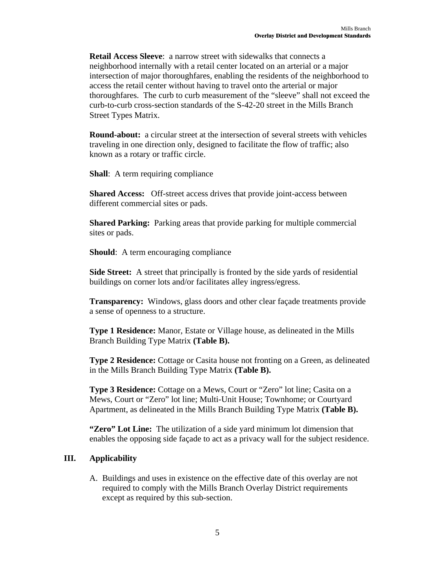**Retail Access Sleeve**: a narrow street with sidewalks that connects a neighborhood internally with a retail center located on an arterial or a major intersection of major thoroughfares, enabling the residents of the neighborhood to access the retail center without having to travel onto the arterial or major thoroughfares. The curb to curb measurement of the "sleeve" shall not exceed the curb-to-curb cross-section standards of the S-42-20 street in the Mills Branch Street Types Matrix.

**Round-about:** a circular street at the intersection of several streets with vehicles traveling in one direction only, designed to facilitate the flow of traffic; also known as a rotary or traffic circle.

**Shall**: A term requiring compliance

**Shared Access:** Off-street access drives that provide joint-access between different commercial sites or pads.

**Shared Parking:** Parking areas that provide parking for multiple commercial sites or pads.

**Should**: A term encouraging compliance

**Side Street:** A street that principally is fronted by the side yards of residential buildings on corner lots and/or facilitates alley ingress/egress.

**Transparency:** Windows, glass doors and other clear façade treatments provide a sense of openness to a structure.

**Type 1 Residence:** Manor, Estate or Village house, as delineated in the Mills Branch Building Type Matrix **(Table B).** 

**Type 2 Residence:** Cottage or Casita house not fronting on a Green, as delineated in the Mills Branch Building Type Matrix **(Table B).** 

**Type 3 Residence:** Cottage on a Mews, Court or "Zero" lot line; Casita on a Mews, Court or "Zero" lot line; Multi-Unit House; Townhome; or Courtyard Apartment, as delineated in the Mills Branch Building Type Matrix **(Table B).** 

**"Zero" Lot Line:** The utilization of a side yard minimum lot dimension that enables the opposing side façade to act as a privacy wall for the subject residence.

### **III. Applicability**

A. Buildings and uses in existence on the effective date of this overlay are not required to comply with the Mills Branch Overlay District requirements except as required by this sub-section.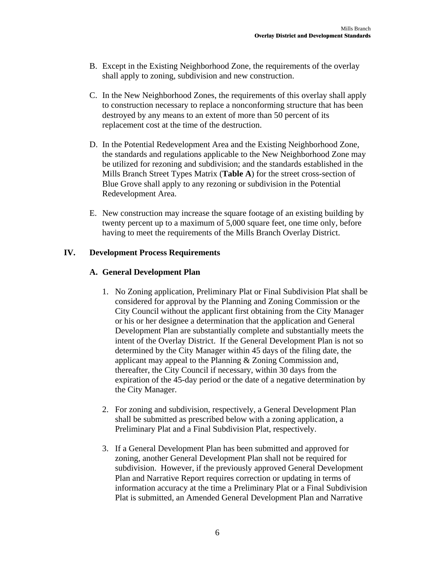- B. Except in the Existing Neighborhood Zone, the requirements of the overlay shall apply to zoning, subdivision and new construction.
- C. In the New Neighborhood Zones, the requirements of this overlay shall apply to construction necessary to replace a nonconforming structure that has been destroyed by any means to an extent of more than 50 percent of its replacement cost at the time of the destruction.
- D. In the Potential Redevelopment Area and the Existing Neighborhood Zone, the standards and regulations applicable to the New Neighborhood Zone may be utilized for rezoning and subdivision; and the standards established in the Mills Branch Street Types Matrix (**Table A**) for the street cross-section of Blue Grove shall apply to any rezoning or subdivision in the Potential Redevelopment Area.
- E. New construction may increase the square footage of an existing building by twenty percent up to a maximum of 5,000 square feet, one time only, before having to meet the requirements of the Mills Branch Overlay District.

### **IV. Development Process Requirements**

### **A. General Development Plan**

- 1. No Zoning application, Preliminary Plat or Final Subdivision Plat shall be considered for approval by the Planning and Zoning Commission or the City Council without the applicant first obtaining from the City Manager or his or her designee a determination that the application and General Development Plan are substantially complete and substantially meets the intent of the Overlay District. If the General Development Plan is not so determined by the City Manager within 45 days of the filing date, the applicant may appeal to the Planning & Zoning Commission and, thereafter, the City Council if necessary, within 30 days from the expiration of the 45-day period or the date of a negative determination by the City Manager.
- 2. For zoning and subdivision, respectively, a General Development Plan shall be submitted as prescribed below with a zoning application, a Preliminary Plat and a Final Subdivision Plat, respectively.
- 3. If a General Development Plan has been submitted and approved for zoning, another General Development Plan shall not be required for subdivision. However, if the previously approved General Development Plan and Narrative Report requires correction or updating in terms of information accuracy at the time a Preliminary Plat or a Final Subdivision Plat is submitted, an Amended General Development Plan and Narrative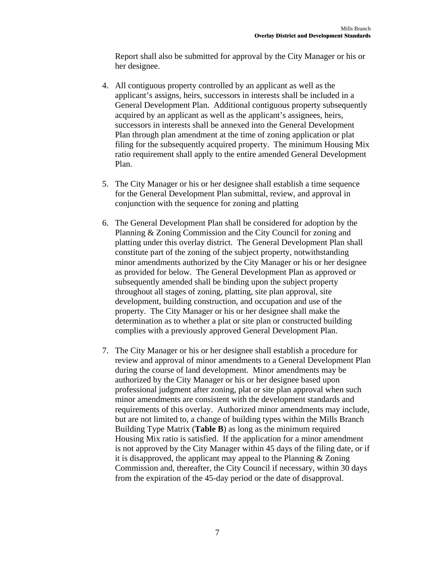Report shall also be submitted for approval by the City Manager or his or her designee.

- 4. All contiguous property controlled by an applicant as well as the applicant's assigns, heirs, successors in interests shall be included in a General Development Plan. Additional contiguous property subsequently acquired by an applicant as well as the applicant's assignees, heirs, successors in interests shall be annexed into the General Development Plan through plan amendment at the time of zoning application or plat filing for the subsequently acquired property. The minimum Housing Mix ratio requirement shall apply to the entire amended General Development Plan.
- 5. The City Manager or his or her designee shall establish a time sequence for the General Development Plan submittal, review, and approval in conjunction with the sequence for zoning and platting
- 6. The General Development Plan shall be considered for adoption by the Planning & Zoning Commission and the City Council for zoning and platting under this overlay district. The General Development Plan shall constitute part of the zoning of the subject property, notwithstanding minor amendments authorized by the City Manager or his or her designee as provided for below. The General Development Plan as approved or subsequently amended shall be binding upon the subject property throughout all stages of zoning, platting, site plan approval, site development, building construction, and occupation and use of the property. The City Manager or his or her designee shall make the determination as to whether a plat or site plan or constructed building complies with a previously approved General Development Plan.
- 7. The City Manager or his or her designee shall establish a procedure for review and approval of minor amendments to a General Development Plan during the course of land development. Minor amendments may be authorized by the City Manager or his or her designee based upon professional judgment after zoning, plat or site plan approval when such minor amendments are consistent with the development standards and requirements of this overlay. Authorized minor amendments may include, but are not limited to, a change of building types within the Mills Branch Building Type Matrix (**Table B**) as long as the minimum required Housing Mix ratio is satisfied. If the application for a minor amendment is not approved by the City Manager within 45 days of the filing date, or if it is disapproved, the applicant may appeal to the Planning & Zoning Commission and, thereafter, the City Council if necessary, within 30 days from the expiration of the 45-day period or the date of disapproval.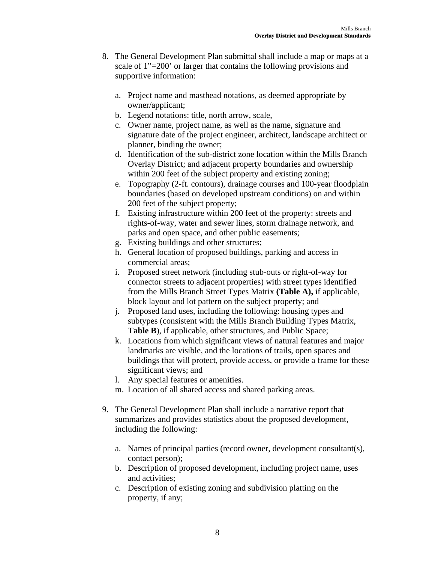- 8. The General Development Plan submittal shall include a map or maps at a scale of 1"=200' or larger that contains the following provisions and supportive information:
	- a. Project name and masthead notations, as deemed appropriate by owner/applicant;
	- b. Legend notations: title, north arrow, scale,
	- c. Owner name, project name, as well as the name, signature and signature date of the project engineer, architect, landscape architect or planner, binding the owner;
	- d. Identification of the sub-district zone location within the Mills Branch Overlay District; and adjacent property boundaries and ownership within 200 feet of the subject property and existing zoning;
	- e. Topography (2-ft. contours), drainage courses and 100-year floodplain boundaries (based on developed upstream conditions) on and within 200 feet of the subject property;
	- f. Existing infrastructure within 200 feet of the property: streets and rights-of-way, water and sewer lines, storm drainage network, and parks and open space, and other public easements;
	- g. Existing buildings and other structures;
	- h. General location of proposed buildings, parking and access in commercial areas;
	- i. Proposed street network (including stub-outs or right-of-way for connector streets to adjacent properties) with street types identified from the Mills Branch Street Types Matrix **(Table A),** if applicable, block layout and lot pattern on the subject property; and
	- j. Proposed land uses, including the following: housing types and subtypes (consistent with the Mills Branch Building Types Matrix, **Table B**), if applicable, other structures, and Public Space;
	- k. Locations from which significant views of natural features and major landmarks are visible, and the locations of trails, open spaces and buildings that will protect, provide access, or provide a frame for these significant views; and
	- l. Any special features or amenities.
	- m. Location of all shared access and shared parking areas.
- 9. The General Development Plan shall include a narrative report that summarizes and provides statistics about the proposed development, including the following:
	- a. Names of principal parties (record owner, development consultant(s), contact person);
	- b. Description of proposed development, including project name, uses and activities;
	- c. Description of existing zoning and subdivision platting on the property, if any;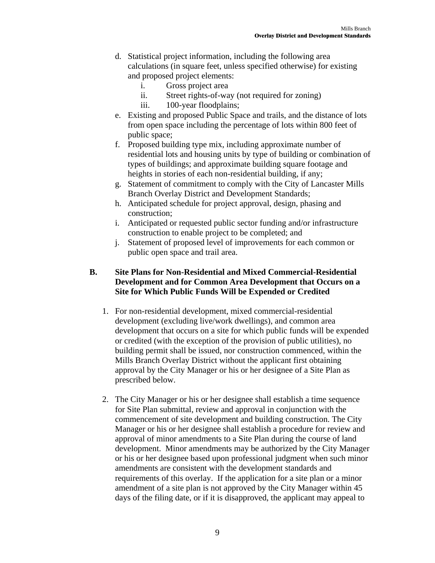- d. Statistical project information, including the following area calculations (in square feet, unless specified otherwise) for existing and proposed project elements:
	- i. Gross project area
	- ii. Street rights-of-way (not required for zoning)
	- iii. 100-year floodplains;
- e. Existing and proposed Public Space and trails, and the distance of lots from open space including the percentage of lots within 800 feet of public space;
- f. Proposed building type mix, including approximate number of residential lots and housing units by type of building or combination of types of buildings; and approximate building square footage and heights in stories of each non-residential building, if any;
- g. Statement of commitment to comply with the City of Lancaster Mills Branch Overlay District and Development Standards;
- h. Anticipated schedule for project approval, design, phasing and construction;
- i. Anticipated or requested public sector funding and/or infrastructure construction to enable project to be completed; and
- j. Statement of proposed level of improvements for each common or public open space and trail area.

### **B. Site Plans for Non-Residential and Mixed Commercial-Residential Development and for Common Area Development that Occurs on a Site for Which Public Funds Will be Expended or Credited**

- 1. For non-residential development, mixed commercial-residential development (excluding live/work dwellings), and common area development that occurs on a site for which public funds will be expended or credited (with the exception of the provision of public utilities), no building permit shall be issued, nor construction commenced, within the Mills Branch Overlay District without the applicant first obtaining approval by the City Manager or his or her designee of a Site Plan as prescribed below.
- 2. The City Manager or his or her designee shall establish a time sequence for Site Plan submittal, review and approval in conjunction with the commencement of site development and building construction. The City Manager or his or her designee shall establish a procedure for review and approval of minor amendments to a Site Plan during the course of land development. Minor amendments may be authorized by the City Manager or his or her designee based upon professional judgment when such minor amendments are consistent with the development standards and requirements of this overlay. If the application for a site plan or a minor amendment of a site plan is not approved by the City Manager within 45 days of the filing date, or if it is disapproved, the applicant may appeal to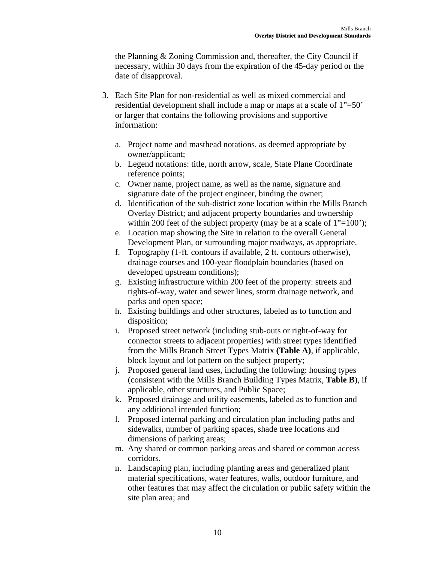the Planning & Zoning Commission and, thereafter, the City Council if necessary, within 30 days from the expiration of the 45-day period or the date of disapproval.

- 3. Each Site Plan for non-residential as well as mixed commercial and residential development shall include a map or maps at a scale of 1"=50' or larger that contains the following provisions and supportive information:
	- a. Project name and masthead notations, as deemed appropriate by owner/applicant;
	- b. Legend notations: title, north arrow, scale, State Plane Coordinate reference points;
	- c. Owner name, project name, as well as the name, signature and signature date of the project engineer, binding the owner;
	- d. Identification of the sub-district zone location within the Mills Branch Overlay District; and adjacent property boundaries and ownership within 200 feet of the subject property (may be at a scale of  $1"=100$ );
	- e. Location map showing the Site in relation to the overall General Development Plan, or surrounding major roadways, as appropriate.
	- f. Topography (1-ft. contours if available, 2 ft. contours otherwise), drainage courses and 100-year floodplain boundaries (based on developed upstream conditions);
	- g. Existing infrastructure within 200 feet of the property: streets and rights-of-way, water and sewer lines, storm drainage network, and parks and open space;
	- h. Existing buildings and other structures, labeled as to function and disposition;
	- i. Proposed street network (including stub-outs or right-of-way for connector streets to adjacent properties) with street types identified from the Mills Branch Street Types Matrix **(Table A)**, if applicable, block layout and lot pattern on the subject property;
	- j. Proposed general land uses, including the following: housing types (consistent with the Mills Branch Building Types Matrix, **Table B**), if applicable, other structures, and Public Space;
	- k. Proposed drainage and utility easements, labeled as to function and any additional intended function;
	- l. Proposed internal parking and circulation plan including paths and sidewalks, number of parking spaces, shade tree locations and dimensions of parking areas;
	- m. Any shared or common parking areas and shared or common access corridors.
	- n. Landscaping plan, including planting areas and generalized plant material specifications, water features, walls, outdoor furniture, and other features that may affect the circulation or public safety within the site plan area; and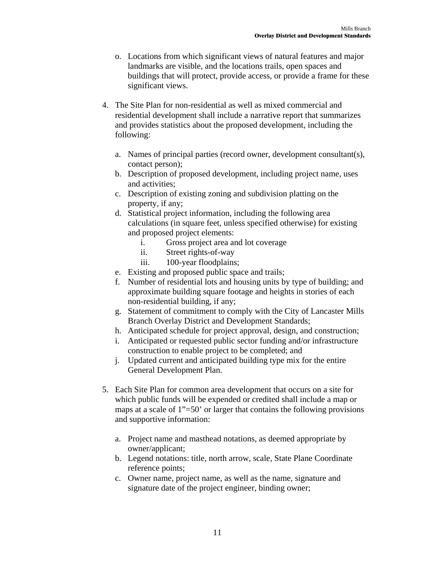- o. Locations from which significant views of natural features and major landmarks are visible, and the locations trails, open spaces and buildings that will protect, provide access, or provide a frame for these significant views.
- 4. The Site Plan for non-residential as well as mixed commercial and residential development shall include a narrative report that summarizes and provides statistics about the proposed development, including the following:
	- a. Names of principal parties (record owner, development consultant(s), contact person);
	- b. Description of proposed development, including project name, uses and activities;
	- c. Description of existing zoning and subdivision platting on the property, if any;
	- d. Statistical project information, including the following area calculations (in square feet, unless specified otherwise) for existing and proposed project elements:
		- i. Gross project area and lot coverage
		- ii. Street rights-of-way
		- iii. 100-year floodplains;
	- e. Existing and proposed public space and trails;
	- f. Number of residential lots and housing units by type of building; and approximate building square footage and heights in stories of each non-residential building, if any;
	- g. Statement of commitment to comply with the City of Lancaster Mills Branch Overlay District and Development Standards;
	- h. Anticipated schedule for project approval, design, and construction;
	- i. Anticipated or requested public sector funding and/or infrastructure construction to enable project to be completed; and
	- j. Updated current and anticipated building type mix for the entire General Development Plan.
- 5. Each Site Plan for common area development that occurs on a site for which public funds will be expended or credited shall include a map or maps at a scale of 1"=50' or larger that contains the following provisions and supportive information:
	- a. Project name and masthead notations, as deemed appropriate by owner/applicant;
	- b. Legend notations: title, north arrow, scale, State Plane Coordinate reference points;
	- c. Owner name, project name, as well as the name, signature and signature date of the project engineer, binding owner;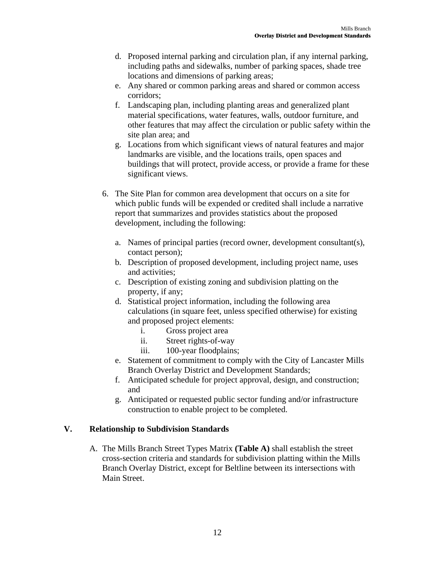- d. Proposed internal parking and circulation plan, if any internal parking, including paths and sidewalks, number of parking spaces, shade tree locations and dimensions of parking areas;
- e. Any shared or common parking areas and shared or common access corridors;
- f. Landscaping plan, including planting areas and generalized plant material specifications, water features, walls, outdoor furniture, and other features that may affect the circulation or public safety within the site plan area; and
- g. Locations from which significant views of natural features and major landmarks are visible, and the locations trails, open spaces and buildings that will protect, provide access, or provide a frame for these significant views.
- 6. The Site Plan for common area development that occurs on a site for which public funds will be expended or credited shall include a narrative report that summarizes and provides statistics about the proposed development, including the following:
	- a. Names of principal parties (record owner, development consultant(s), contact person);
	- b. Description of proposed development, including project name, uses and activities;
	- c. Description of existing zoning and subdivision platting on the property, if any;
	- d. Statistical project information, including the following area calculations (in square feet, unless specified otherwise) for existing and proposed project elements:
		- i. Gross project area
		- ii. Street rights-of-way
		- iii. 100-year floodplains;
	- e. Statement of commitment to comply with the City of Lancaster Mills Branch Overlay District and Development Standards;
	- f. Anticipated schedule for project approval, design, and construction; and
	- g. Anticipated or requested public sector funding and/or infrastructure construction to enable project to be completed.

### **V. Relationship to Subdivision Standards**

A. The Mills Branch Street Types Matrix **(Table A)** shall establish the street cross-section criteria and standards for subdivision platting within the Mills Branch Overlay District, except for Beltline between its intersections with Main Street.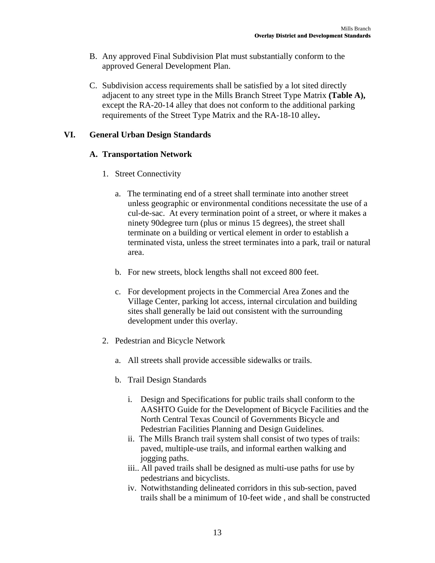- B. Any approved Final Subdivision Plat must substantially conform to the approved General Development Plan.
- C. Subdivision access requirements shall be satisfied by a lot sited directly adjacent to any street type in the Mills Branch Street Type Matrix **(Table A),**  except the RA-20-14 alley that does not conform to the additional parking requirements of the Street Type Matrix and the RA-18-10 alley**.**

### **VI. General Urban Design Standards**

### **A. Transportation Network**

- 1. Street Connectivity
	- a. The terminating end of a street shall terminate into another street unless geographic or environmental conditions necessitate the use of a cul-de-sac. At every termination point of a street, or where it makes a ninety 90degree turn (plus or minus 15 degrees), the street shall terminate on a building or vertical element in order to establish a terminated vista, unless the street terminates into a park, trail or natural area.
	- b. For new streets, block lengths shall not exceed 800 feet.
	- c. For development projects in the Commercial Area Zones and the Village Center, parking lot access, internal circulation and building sites shall generally be laid out consistent with the surrounding development under this overlay.
- 2. Pedestrian and Bicycle Network
	- a. All streets shall provide accessible sidewalks or trails.
	- b. Trail Design Standards
		- i. Design and Specifications for public trails shall conform to the AASHTO Guide for the Development of Bicycle Facilities and the North Central Texas Council of Governments Bicycle and Pedestrian Facilities Planning and Design Guidelines.
		- ii. The Mills Branch trail system shall consist of two types of trails: paved, multiple-use trails, and informal earthen walking and jogging paths.
		- iii.. All paved trails shall be designed as multi-use paths for use by pedestrians and bicyclists.
		- iv. Notwithstanding delineated corridors in this sub-section, paved trails shall be a minimum of 10-feet wide , and shall be constructed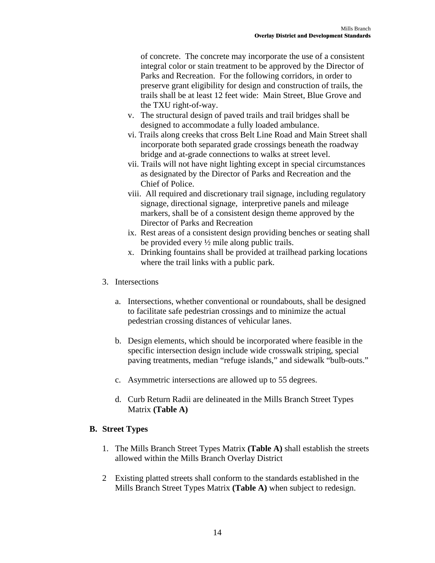of concrete. The concrete may incorporate the use of a consistent integral color or stain treatment to be approved by the Director of Parks and Recreation. For the following corridors, in order to preserve grant eligibility for design and construction of trails, the trails shall be at least 12 feet wide: Main Street, Blue Grove and the TXU right-of-way.

- v. The structural design of paved trails and trail bridges shall be designed to accommodate a fully loaded ambulance.
- vi. Trails along creeks that cross Belt Line Road and Main Street shall incorporate both separated grade crossings beneath the roadway bridge and at-grade connections to walks at street level.
- vii. Trails will not have night lighting except in special circumstances as designated by the Director of Parks and Recreation and the Chief of Police.
- viii. All required and discretionary trail signage, including regulatory signage, directional signage, interpretive panels and mileage markers, shall be of a consistent design theme approved by the Director of Parks and Recreation
- ix. Rest areas of a consistent design providing benches or seating shall be provided every ½ mile along public trails.
- x. Drinking fountains shall be provided at trailhead parking locations where the trail links with a public park.
- 3. Intersections
	- a. Intersections, whether conventional or roundabouts, shall be designed to facilitate safe pedestrian crossings and to minimize the actual pedestrian crossing distances of vehicular lanes.
	- b. Design elements, which should be incorporated where feasible in the specific intersection design include wide crosswalk striping, special paving treatments, median "refuge islands," and sidewalk "bulb-outs."
	- c. Asymmetric intersections are allowed up to 55 degrees.
	- d. Curb Return Radii are delineated in the Mills Branch Street Types Matrix **(Table A)**

### **B. Street Types**

- 1. The Mills Branch Street Types Matrix **(Table A)** shall establish the streets allowed within the Mills Branch Overlay District
- 2 Existing platted streets shall conform to the standards established in the Mills Branch Street Types Matrix **(Table A)** when subject to redesign.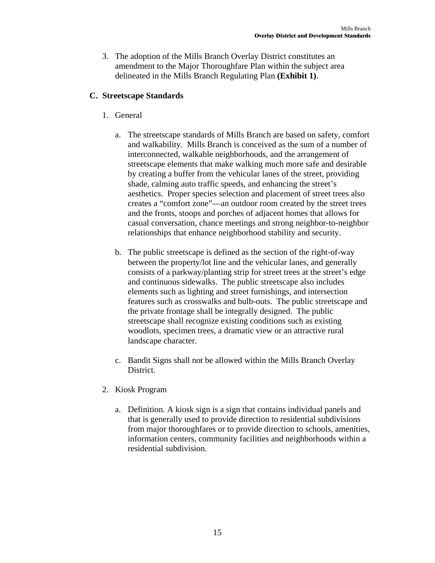3. The adoption of the Mills Branch Overlay District constitutes an amendment to the Major Thoroughfare Plan within the subject area delineated in the Mills Branch Regulating Plan **(Exhibit 1)**.

### **C. Streetscape Standards**

- 1. General
	- a. The streetscape standards of Mills Branch are based on safety, comfort and walkability. Mills Branch is conceived as the sum of a number of interconnected, walkable neighborhoods, and the arrangement of streetscape elements that make walking much more safe and desirable by creating a buffer from the vehicular lanes of the street, providing shade, calming auto traffic speeds, and enhancing the street's aesthetics. Proper species selection and placement of street trees also creates a "comfort zone"—an outdoor room created by the street trees and the fronts, stoops and porches of adjacent homes that allows for casual conversation, chance meetings and strong neighbor-to-neighbor relationships that enhance neighborhood stability and security.
	- b. The public streetscape is defined as the section of the right-of-way between the property/lot line and the vehicular lanes, and generally consists of a parkway/planting strip for street trees at the street's edge and continuous sidewalks. The public streetscape also includes elements such as lighting and street furnishings, and intersection features such as crosswalks and bulb-outs. The public streetscape and the private frontage shall be integrally designed. The public streetscape shall recognize existing conditions such as existing woodlots, specimen trees, a dramatic view or an attractive rural landscape character.
	- c. Bandit Signs shall not be allowed within the Mills Branch Overlay District.
- 2. Kiosk Program
	- a. Definition. A kiosk sign is a sign that contains individual panels and that is generally used to provide direction to residential subdivisions from major thoroughfares or to provide direction to schools, amenities, information centers, community facilities and neighborhoods within a residential subdivision.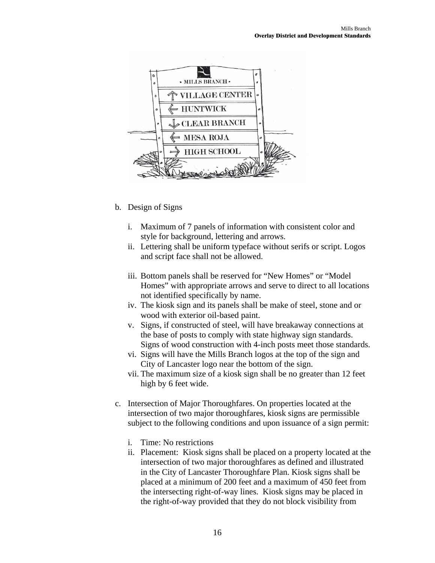

- b. Design of Signs
	- i. Maximum of 7 panels of information with consistent color and style for background, lettering and arrows.
	- ii. Lettering shall be uniform typeface without serifs or script. Logos and script face shall not be allowed.
	- iii. Bottom panels shall be reserved for "New Homes" or "Model Homes" with appropriate arrows and serve to direct to all locations not identified specifically by name.
	- iv. The kiosk sign and its panels shall be make of steel, stone and or wood with exterior oil-based paint.
	- v. Signs, if constructed of steel, will have breakaway connections at the base of posts to comply with state highway sign standards. Signs of wood construction with 4-inch posts meet those standards.
	- vi. Signs will have the Mills Branch logos at the top of the sign and City of Lancaster logo near the bottom of the sign.
	- vii. The maximum size of a kiosk sign shall be no greater than 12 feet high by 6 feet wide.
- c. Intersection of Major Thoroughfares. On properties located at the intersection of two major thoroughfares, kiosk signs are permissible subject to the following conditions and upon issuance of a sign permit:
	- i. Time: No restrictions
	- ii. Placement: Kiosk signs shall be placed on a property located at the intersection of two major thoroughfares as defined and illustrated in the City of Lancaster Thoroughfare Plan. Kiosk signs shall be placed at a minimum of 200 feet and a maximum of 450 feet from the intersecting right-of-way lines. Kiosk signs may be placed in the right-of-way provided that they do not block visibility from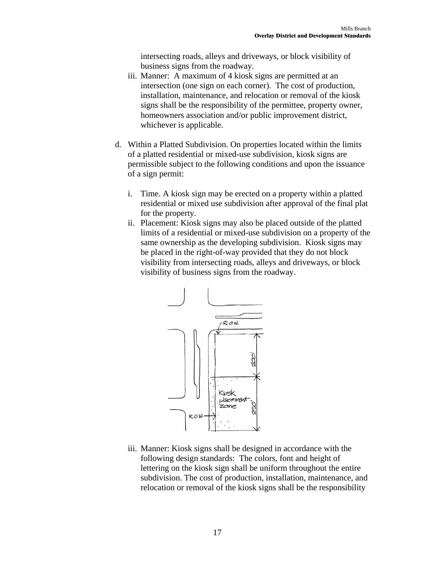intersecting roads, alleys and driveways, or block visibility of business signs from the roadway.

- iii. Manner: A maximum of 4 kiosk signs are permitted at an intersection (one sign on each corner). The cost of production, installation, maintenance, and relocation or removal of the kiosk signs shall be the responsibility of the permittee, property owner, homeowners association and/or public improvement district, whichever is applicable.
- d. Within a Platted Subdivision. On properties located within the limits of a platted residential or mixed-use subdivision, kiosk signs are permissible subject to the following conditions and upon the issuance of a sign permit:
	- i. Time. A kiosk sign may be erected on a property within a platted residential or mixed use subdivision after approval of the final plat for the property.
	- ii. Placement: Kiosk signs may also be placed outside of the platted limits of a residential or mixed-use subdivision on a property of the same ownership as the developing subdivision. Kiosk signs may be placed in the right-of-way provided that they do not block visibility from intersecting roads, alleys and driveways, or block visibility of business signs from the roadway.



iii. Manner: Kiosk signs shall be designed in accordance with the following design standards: The colors, font and height of lettering on the kiosk sign shall be uniform throughout the entire subdivision. The cost of production, installation, maintenance, and relocation or removal of the kiosk signs shall be the responsibility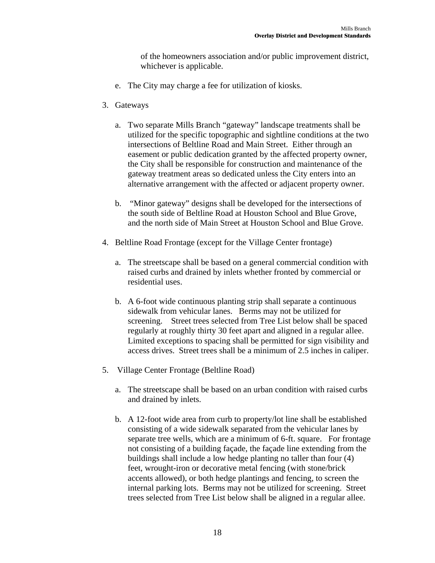of the homeowners association and/or public improvement district, whichever is applicable.

- e. The City may charge a fee for utilization of kiosks.
- 3. Gateways
	- a. Two separate Mills Branch "gateway" landscape treatments shall be utilized for the specific topographic and sightline conditions at the two intersections of Beltline Road and Main Street. Either through an easement or public dedication granted by the affected property owner, the City shall be responsible for construction and maintenance of the gateway treatment areas so dedicated unless the City enters into an alternative arrangement with the affected or adjacent property owner.
	- b. "Minor gateway" designs shall be developed for the intersections of the south side of Beltline Road at Houston School and Blue Grove, and the north side of Main Street at Houston School and Blue Grove.
- 4. Beltline Road Frontage (except for the Village Center frontage)
	- a. The streetscape shall be based on a general commercial condition with raised curbs and drained by inlets whether fronted by commercial or residential uses.
	- b. A 6-foot wide continuous planting strip shall separate a continuous sidewalk from vehicular lanes. Berms may not be utilized for screening. Street trees selected from Tree List below shall be spaced regularly at roughly thirty 30 feet apart and aligned in a regular allee. Limited exceptions to spacing shall be permitted for sign visibility and access drives. Street trees shall be a minimum of 2.5 inches in caliper.
- 5. Village Center Frontage (Beltline Road)
	- a. The streetscape shall be based on an urban condition with raised curbs and drained by inlets.
	- b. A 12-foot wide area from curb to property/lot line shall be established consisting of a wide sidewalk separated from the vehicular lanes by separate tree wells, which are a minimum of 6-ft. square. For frontage not consisting of a building façade, the façade line extending from the buildings shall include a low hedge planting no taller than four (4) feet, wrought-iron or decorative metal fencing (with stone/brick accents allowed), or both hedge plantings and fencing, to screen the internal parking lots. Berms may not be utilized for screening. Street trees selected from Tree List below shall be aligned in a regular allee.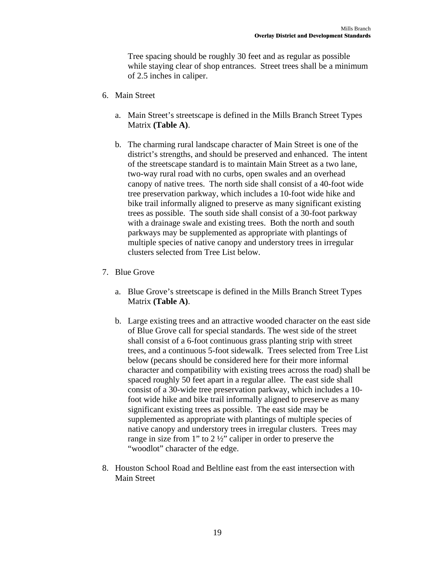Tree spacing should be roughly 30 feet and as regular as possible while staying clear of shop entrances. Street trees shall be a minimum of 2.5 inches in caliper.

- 6. Main Street
	- a. Main Street's streetscape is defined in the Mills Branch Street Types Matrix **(Table A)**.
	- b. The charming rural landscape character of Main Street is one of the district's strengths, and should be preserved and enhanced. The intent of the streetscape standard is to maintain Main Street as a two lane, two-way rural road with no curbs, open swales and an overhead canopy of native trees. The north side shall consist of a 40-foot wide tree preservation parkway, which includes a 10-foot wide hike and bike trail informally aligned to preserve as many significant existing trees as possible. The south side shall consist of a 30-foot parkway with a drainage swale and existing trees. Both the north and south parkways may be supplemented as appropriate with plantings of multiple species of native canopy and understory trees in irregular clusters selected from Tree List below.
- 7. Blue Grove
	- a. Blue Grove's streetscape is defined in the Mills Branch Street Types Matrix **(Table A)**.
	- b. Large existing trees and an attractive wooded character on the east side of Blue Grove call for special standards. The west side of the street shall consist of a 6-foot continuous grass planting strip with street trees, and a continuous 5-foot sidewalk. Trees selected from Tree List below (pecans should be considered here for their more informal character and compatibility with existing trees across the road) shall be spaced roughly 50 feet apart in a regular allee. The east side shall consist of a 30-wide tree preservation parkway, which includes a 10 foot wide hike and bike trail informally aligned to preserve as many significant existing trees as possible. The east side may be supplemented as appropriate with plantings of multiple species of native canopy and understory trees in irregular clusters. Trees may range in size from 1" to 2 ½" caliper in order to preserve the "woodlot" character of the edge.
- 8. Houston School Road and Beltline east from the east intersection with Main Street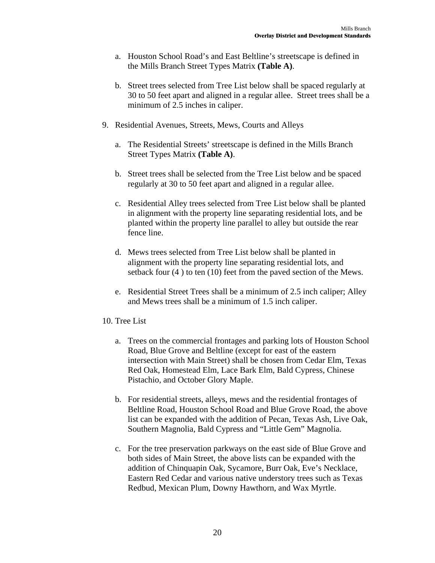- a. Houston School Road's and East Beltline's streetscape is defined in the Mills Branch Street Types Matrix **(Table A)**.
- b. Street trees selected from Tree List below shall be spaced regularly at 30 to 50 feet apart and aligned in a regular allee. Street trees shall be a minimum of 2.5 inches in caliper.
- 9. Residential Avenues, Streets, Mews, Courts and Alleys
	- a. The Residential Streets' streetscape is defined in the Mills Branch Street Types Matrix **(Table A)**.
	- b. Street trees shall be selected from the Tree List below and be spaced regularly at 30 to 50 feet apart and aligned in a regular allee.
	- c. Residential Alley trees selected from Tree List below shall be planted in alignment with the property line separating residential lots, and be planted within the property line parallel to alley but outside the rear fence line.
	- d. Mews trees selected from Tree List below shall be planted in alignment with the property line separating residential lots, and setback four (4 ) to ten (10) feet from the paved section of the Mews.
	- e. Residential Street Trees shall be a minimum of 2.5 inch caliper; Alley and Mews trees shall be a minimum of 1.5 inch caliper.
- 10. Tree List
	- a. Trees on the commercial frontages and parking lots of Houston School Road, Blue Grove and Beltline (except for east of the eastern intersection with Main Street) shall be chosen from Cedar Elm, Texas Red Oak, Homestead Elm, Lace Bark Elm, Bald Cypress, Chinese Pistachio, and October Glory Maple.
	- b. For residential streets, alleys, mews and the residential frontages of Beltline Road, Houston School Road and Blue Grove Road, the above list can be expanded with the addition of Pecan, Texas Ash, Live Oak, Southern Magnolia, Bald Cypress and "Little Gem" Magnolia.
	- c. For the tree preservation parkways on the east side of Blue Grove and both sides of Main Street, the above lists can be expanded with the addition of Chinquapin Oak, Sycamore, Burr Oak, Eve's Necklace, Eastern Red Cedar and various native understory trees such as Texas Redbud, Mexican Plum, Downy Hawthorn, and Wax Myrtle.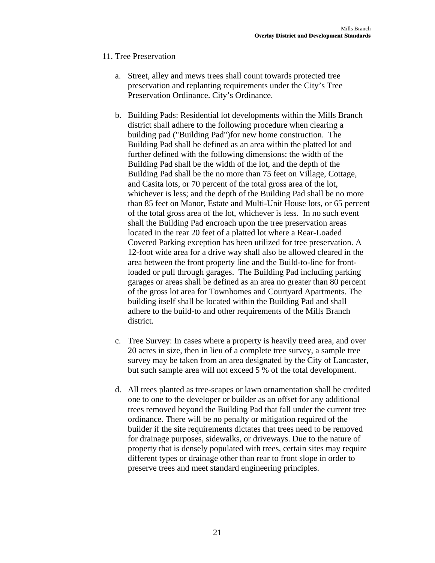### 11. Tree Preservation

- a. Street, alley and mews trees shall count towards protected tree preservation and replanting requirements under the City's Tree Preservation Ordinance. City's Ordinance.
- b. Building Pads: Residential lot developments within the Mills Branch district shall adhere to the following procedure when clearing a building pad ("Building Pad")for new home construction. The Building Pad shall be defined as an area within the platted lot and further defined with the following dimensions: the width of the Building Pad shall be the width of the lot, and the depth of the Building Pad shall be the no more than 75 feet on Village, Cottage, and Casita lots, or 70 percent of the total gross area of the lot, whichever is less; and the depth of the Building Pad shall be no more than 85 feet on Manor, Estate and Multi-Unit House lots, or 65 percent of the total gross area of the lot, whichever is less. In no such event shall the Building Pad encroach upon the tree preservation areas located in the rear 20 feet of a platted lot where a Rear-Loaded Covered Parking exception has been utilized for tree preservation. A 12-foot wide area for a drive way shall also be allowed cleared in the area between the front property line and the Build-to-line for frontloaded or pull through garages. The Building Pad including parking garages or areas shall be defined as an area no greater than 80 percent of the gross lot area for Townhomes and Courtyard Apartments. The building itself shall be located within the Building Pad and shall adhere to the build-to and other requirements of the Mills Branch district.
- c. Tree Survey: In cases where a property is heavily treed area, and over 20 acres in size, then in lieu of a complete tree survey, a sample tree survey may be taken from an area designated by the City of Lancaster, but such sample area will not exceed 5 % of the total development.
- d. All trees planted as tree-scapes or lawn ornamentation shall be credited one to one to the developer or builder as an offset for any additional trees removed beyond the Building Pad that fall under the current tree ordinance. There will be no penalty or mitigation required of the builder if the site requirements dictates that trees need to be removed for drainage purposes, sidewalks, or driveways. Due to the nature of property that is densely populated with trees, certain sites may require different types or drainage other than rear to front slope in order to preserve trees and meet standard engineering principles.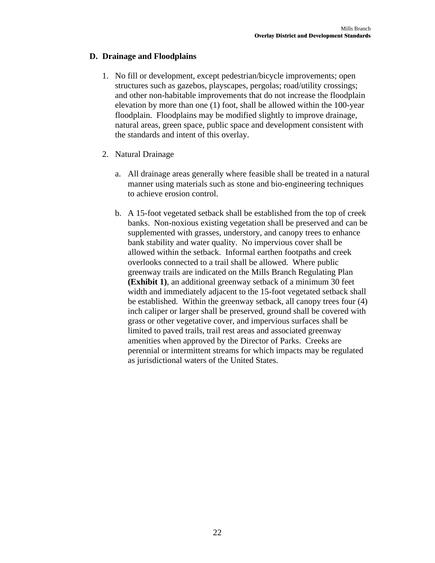### **D. Drainage and Floodplains**

- 1. No fill or development, except pedestrian/bicycle improvements; open structures such as gazebos, playscapes, pergolas; road/utility crossings; and other non-habitable improvements that do not increase the floodplain elevation by more than one (1) foot, shall be allowed within the 100-year floodplain. Floodplains may be modified slightly to improve drainage, natural areas, green space, public space and development consistent with the standards and intent of this overlay.
- 2. Natural Drainage
	- a. All drainage areas generally where feasible shall be treated in a natural manner using materials such as stone and bio-engineering techniques to achieve erosion control.
	- b. A 15-foot vegetated setback shall be established from the top of creek banks. Non-noxious existing vegetation shall be preserved and can be supplemented with grasses, understory, and canopy trees to enhance bank stability and water quality. No impervious cover shall be allowed within the setback. Informal earthen footpaths and creek overlooks connected to a trail shall be allowed. Where public greenway trails are indicated on the Mills Branch Regulating Plan **(Exhibit 1)**, an additional greenway setback of a minimum 30 feet width and immediately adjacent to the 15-foot vegetated setback shall be established. Within the greenway setback, all canopy trees four (4) inch caliper or larger shall be preserved, ground shall be covered with grass or other vegetative cover, and impervious surfaces shall be limited to paved trails, trail rest areas and associated greenway amenities when approved by the Director of Parks. Creeks are perennial or intermittent streams for which impacts may be regulated as jurisdictional waters of the United States.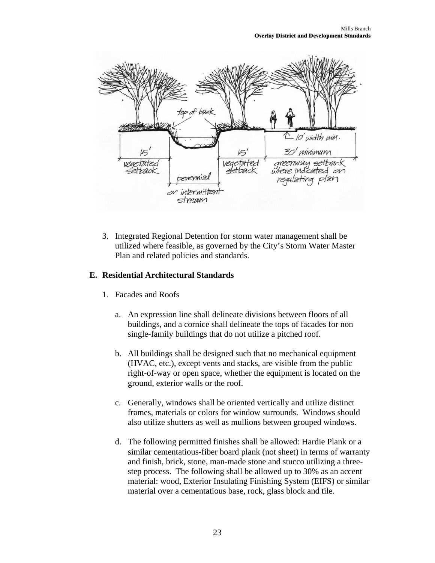

3. Integrated Regional Detention for storm water management shall be utilized where feasible, as governed by the City's Storm Water Master Plan and related policies and standards.

### **E. Residential Architectural Standards**

- 1. Facades and Roofs
	- a. An expression line shall delineate divisions between floors of all buildings, and a cornice shall delineate the tops of facades for non single-family buildings that do not utilize a pitched roof.
	- b. All buildings shall be designed such that no mechanical equipment (HVAC, etc.), except vents and stacks, are visible from the public right-of-way or open space, whether the equipment is located on the ground, exterior walls or the roof.
	- c. Generally, windows shall be oriented vertically and utilize distinct frames, materials or colors for window surrounds. Windows should also utilize shutters as well as mullions between grouped windows.
	- d. The following permitted finishes shall be allowed: Hardie Plank or a similar cementatious-fiber board plank (not sheet) in terms of warranty and finish, brick, stone, man-made stone and stucco utilizing a threestep process. The following shall be allowed up to 30% as an accent material: wood, Exterior Insulating Finishing System (EIFS) or similar material over a cementatious base, rock, glass block and tile.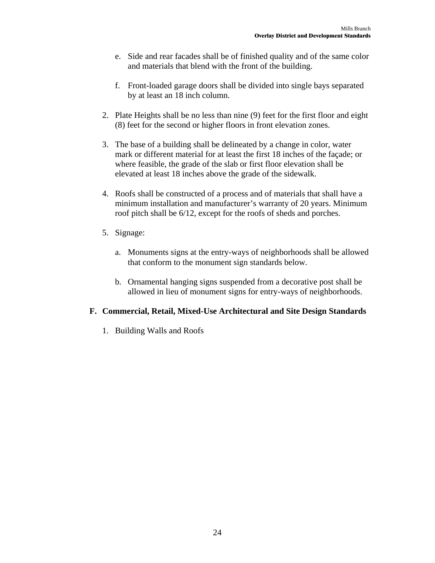- e. Side and rear facades shall be of finished quality and of the same color and materials that blend with the front of the building.
- f. Front-loaded garage doors shall be divided into single bays separated by at least an 18 inch column.
- 2. Plate Heights shall be no less than nine (9) feet for the first floor and eight (8) feet for the second or higher floors in front elevation zones.
- 3. The base of a building shall be delineated by a change in color, water mark or different material for at least the first 18 inches of the façade; or where feasible, the grade of the slab or first floor elevation shall be elevated at least 18 inches above the grade of the sidewalk.
- 4. Roofs shall be constructed of a process and of materials that shall have a minimum installation and manufacturer's warranty of 20 years. Minimum roof pitch shall be 6/12, except for the roofs of sheds and porches.
- 5. Signage:
	- a. Monuments signs at the entry-ways of neighborhoods shall be allowed that conform to the monument sign standards below.
	- b. Ornamental hanging signs suspended from a decorative post shall be allowed in lieu of monument signs for entry-ways of neighborhoods.

### **F. Commercial, Retail, Mixed-Use Architectural and Site Design Standards**

1. Building Walls and Roofs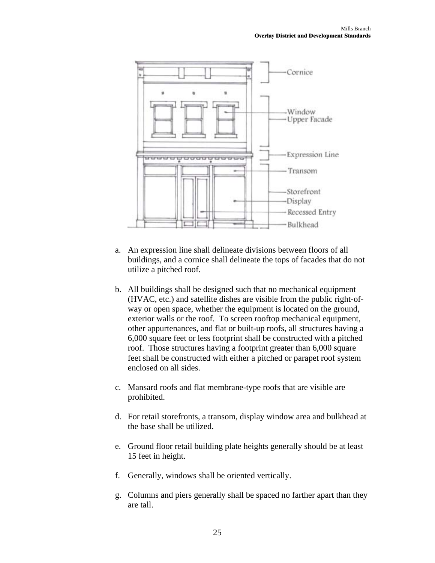

- a. An expression line shall delineate divisions between floors of all buildings, and a cornice shall delineate the tops of facades that do not utilize a pitched roof.
- b. All buildings shall be designed such that no mechanical equipment (HVAC, etc.) and satellite dishes are visible from the public right-ofway or open space, whether the equipment is located on the ground, exterior walls or the roof. To screen rooftop mechanical equipment, other appurtenances, and flat or built-up roofs, all structures having a 6,000 square feet or less footprint shall be constructed with a pitched roof. Those structures having a footprint greater than 6,000 square feet shall be constructed with either a pitched or parapet roof system enclosed on all sides.
- c. Mansard roofs and flat membrane-type roofs that are visible are prohibited.
- d. For retail storefronts, a transom, display window area and bulkhead at the base shall be utilized.
- e. Ground floor retail building plate heights generally should be at least 15 feet in height.
- f. Generally, windows shall be oriented vertically.
- g. Columns and piers generally shall be spaced no farther apart than they are tall.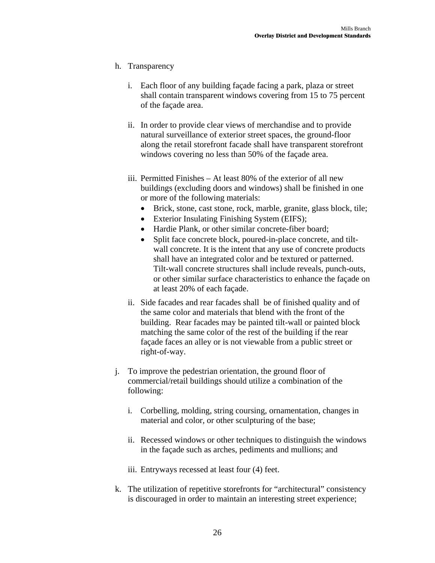### h. Transparency

- i. Each floor of any building façade facing a park, plaza or street shall contain transparent windows covering from 15 to 75 percent of the façade area.
- ii. In order to provide clear views of merchandise and to provide natural surveillance of exterior street spaces, the ground-floor along the retail storefront facade shall have transparent storefront windows covering no less than 50% of the façade area.
- iii. Permitted Finishes At least 80% of the exterior of all new buildings (excluding doors and windows) shall be finished in one or more of the following materials:
	- Brick, stone, cast stone, rock, marble, granite, glass block, tile;
	- Exterior Insulating Finishing System (EIFS);
	- Hardie Plank, or other similar concrete-fiber board;
	- Split face concrete block, poured-in-place concrete, and tiltwall concrete. It is the intent that any use of concrete products shall have an integrated color and be textured or patterned. Tilt-wall concrete structures shall include reveals, punch-outs, or other similar surface characteristics to enhance the façade on at least 20% of each façade.
- ii. Side facades and rear facades shall be of finished quality and of the same color and materials that blend with the front of the building. Rear facades may be painted tilt-wall or painted block matching the same color of the rest of the building if the rear façade faces an alley or is not viewable from a public street or right-of-way.
- j. To improve the pedestrian orientation, the ground floor of commercial/retail buildings should utilize a combination of the following:
	- i. Corbelling, molding, string coursing, ornamentation, changes in material and color, or other sculpturing of the base;
	- ii. Recessed windows or other techniques to distinguish the windows in the façade such as arches, pediments and mullions; and
	- iii. Entryways recessed at least four (4) feet.
- k. The utilization of repetitive storefronts for "architectural" consistency is discouraged in order to maintain an interesting street experience;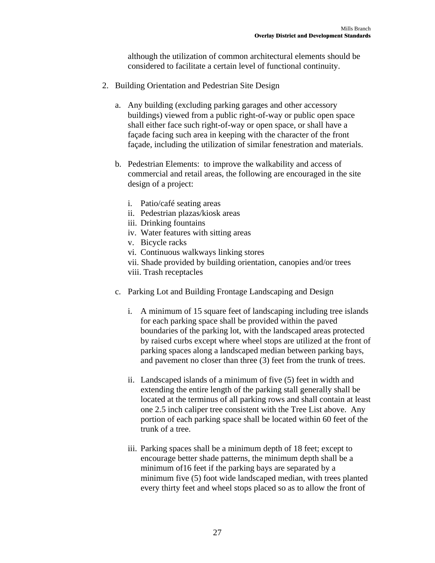although the utilization of common architectural elements should be considered to facilitate a certain level of functional continuity.

- 2. Building Orientation and Pedestrian Site Design
	- a. Any building (excluding parking garages and other accessory buildings) viewed from a public right-of-way or public open space shall either face such right-of-way or open space, or shall have a façade facing such area in keeping with the character of the front façade, including the utilization of similar fenestration and materials.
	- b. Pedestrian Elements: to improve the walkability and access of commercial and retail areas, the following are encouraged in the site design of a project:
		- i. Patio/café seating areas
		- ii. Pedestrian plazas/kiosk areas
		- iii. Drinking fountains
		- iv. Water features with sitting areas
		- v. Bicycle racks
		- vi. Continuous walkways linking stores
		- vii. Shade provided by building orientation, canopies and/or trees viii. Trash receptacles
	- c. Parking Lot and Building Frontage Landscaping and Design
		- i. A minimum of 15 square feet of landscaping including tree islands for each parking space shall be provided within the paved boundaries of the parking lot, with the landscaped areas protected by raised curbs except where wheel stops are utilized at the front of parking spaces along a landscaped median between parking bays, and pavement no closer than three (3) feet from the trunk of trees.
		- ii. Landscaped islands of a minimum of five (5) feet in width and extending the entire length of the parking stall generally shall be located at the terminus of all parking rows and shall contain at least one 2.5 inch caliper tree consistent with the Tree List above. Any portion of each parking space shall be located within 60 feet of the trunk of a tree.
		- iii. Parking spaces shall be a minimum depth of 18 feet; except to encourage better shade patterns, the minimum depth shall be a minimum of16 feet if the parking bays are separated by a minimum five (5) foot wide landscaped median, with trees planted every thirty feet and wheel stops placed so as to allow the front of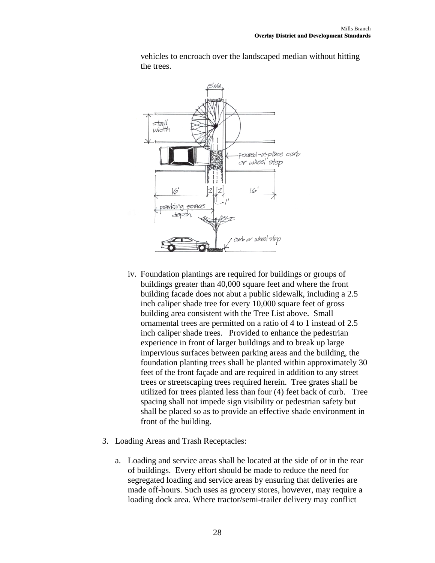



- iv. Foundation plantings are required for buildings or groups of buildings greater than 40,000 square feet and where the front building facade does not abut a public sidewalk, including a 2.5 inch caliper shade tree for every 10,000 square feet of gross building area consistent with the Tree List above. Small ornamental trees are permitted on a ratio of 4 to 1 instead of 2.5 inch caliper shade trees. Provided to enhance the pedestrian experience in front of larger buildings and to break up large impervious surfaces between parking areas and the building, the foundation planting trees shall be planted within approximately 30 feet of the front façade and are required in addition to any street trees or streetscaping trees required herein. Tree grates shall be utilized for trees planted less than four (4) feet back of curb. Tree spacing shall not impede sign visibility or pedestrian safety but shall be placed so as to provide an effective shade environment in front of the building.
- 3. Loading Areas and Trash Receptacles:
	- a. Loading and service areas shall be located at the side of or in the rear of buildings. Every effort should be made to reduce the need for segregated loading and service areas by ensuring that deliveries are made off-hours. Such uses as grocery stores, however, may require a loading dock area. Where tractor/semi-trailer delivery may conflict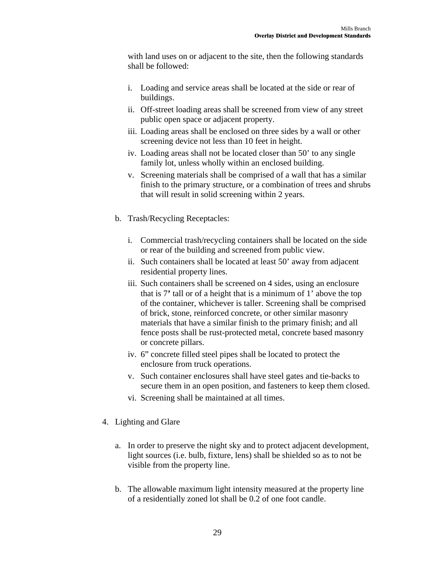with land uses on or adjacent to the site, then the following standards shall be followed:

- i. Loading and service areas shall be located at the side or rear of buildings.
- ii. Off-street loading areas shall be screened from view of any street public open space or adjacent property.
- iii. Loading areas shall be enclosed on three sides by a wall or other screening device not less than 10 feet in height.
- iv. Loading areas shall not be located closer than 50' to any single family lot, unless wholly within an enclosed building.
- v. Screening materials shall be comprised of a wall that has a similar finish to the primary structure, or a combination of trees and shrubs that will result in solid screening within 2 years.
- b. Trash/Recycling Receptacles:
	- i. Commercial trash/recycling containers shall be located on the side or rear of the building and screened from public view.
	- ii. Such containers shall be located at least 50' away from adjacent residential property lines.
	- iii. Such containers shall be screened on 4 sides, using an enclosure that is 7**'** tall or of a height that is a minimum of 1' above the top of the container, whichever is taller. Screening shall be comprised of brick, stone, reinforced concrete, or other similar masonry materials that have a similar finish to the primary finish; and all fence posts shall be rust-protected metal, concrete based masonry or concrete pillars.
	- iv. 6" concrete filled steel pipes shall be located to protect the enclosure from truck operations.
	- v. Such container enclosures shall have steel gates and tie-backs to secure them in an open position, and fasteners to keep them closed.
	- vi. Screening shall be maintained at all times.
- 4. Lighting and Glare
	- a. In order to preserve the night sky and to protect adjacent development, light sources (i.e. bulb, fixture, lens) shall be shielded so as to not be visible from the property line.
	- b. The allowable maximum light intensity measured at the property line of a residentially zoned lot shall be 0.2 of one foot candle.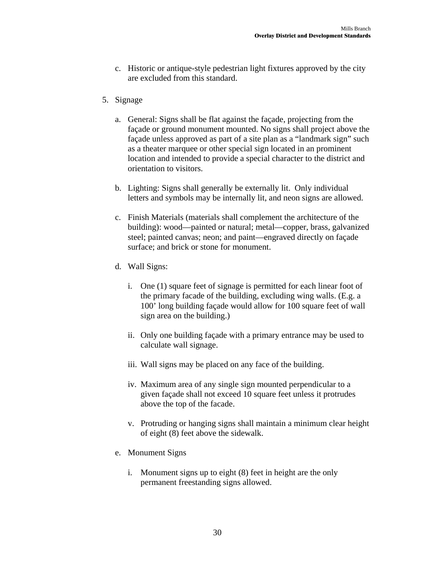- c. Historic or antique-style pedestrian light fixtures approved by the city are excluded from this standard.
- 5. Signage
	- a. General: Signs shall be flat against the façade, projecting from the façade or ground monument mounted. No signs shall project above the façade unless approved as part of a site plan as a "landmark sign" such as a theater marquee or other special sign located in an prominent location and intended to provide a special character to the district and orientation to visitors.
	- b. Lighting: Signs shall generally be externally lit. Only individual letters and symbols may be internally lit, and neon signs are allowed.
	- c. Finish Materials (materials shall complement the architecture of the building): wood—painted or natural; metal—copper, brass, galvanized steel; painted canvas; neon; and paint—engraved directly on façade surface; and brick or stone for monument.
	- d. Wall Signs:
		- i. One (1) square feet of signage is permitted for each linear foot of the primary facade of the building, excluding wing walls. (E.g. a 100' long building façade would allow for 100 square feet of wall sign area on the building.)
		- ii. Only one building façade with a primary entrance may be used to calculate wall signage.
		- iii. Wall signs may be placed on any face of the building.
		- iv. Maximum area of any single sign mounted perpendicular to a given façade shall not exceed 10 square feet unless it protrudes above the top of the facade.
		- v. Protruding or hanging signs shall maintain a minimum clear height of eight (8) feet above the sidewalk.
	- e. Monument Signs
		- i. Monument signs up to eight (8) feet in height are the only permanent freestanding signs allowed.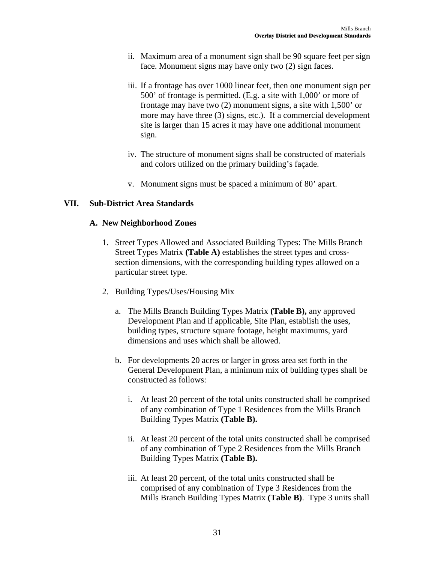- ii. Maximum area of a monument sign shall be 90 square feet per sign face. Monument signs may have only two (2) sign faces.
- iii. If a frontage has over 1000 linear feet, then one monument sign per 500' of frontage is permitted. (E.g. a site with 1,000' or more of frontage may have two (2) monument signs, a site with 1,500' or more may have three (3) signs, etc.). If a commercial development site is larger than 15 acres it may have one additional monument sign.
- iv. The structure of monument signs shall be constructed of materials and colors utilized on the primary building's façade.
- v. Monument signs must be spaced a minimum of 80' apart.

### **VII. Sub-District Area Standards**

### **A. New Neighborhood Zones**

- 1. Street Types Allowed and Associated Building Types: The Mills Branch Street Types Matrix **(Table A)** establishes the street types and crosssection dimensions, with the corresponding building types allowed on a particular street type.
- 2. Building Types/Uses/Housing Mix
	- a. The Mills Branch Building Types Matrix **(Table B),** any approved Development Plan and if applicable, Site Plan, establish the uses, building types, structure square footage, height maximums, yard dimensions and uses which shall be allowed.
	- b. For developments 20 acres or larger in gross area set forth in the General Development Plan, a minimum mix of building types shall be constructed as follows:
		- i. At least 20 percent of the total units constructed shall be comprised of any combination of Type 1 Residences from the Mills Branch Building Types Matrix **(Table B).**
		- ii. At least 20 percent of the total units constructed shall be comprised of any combination of Type 2 Residences from the Mills Branch Building Types Matrix **(Table B).**
		- iii. At least 20 percent, of the total units constructed shall be comprised of any combination of Type 3 Residences from the Mills Branch Building Types Matrix **(Table B)**. Type 3 units shall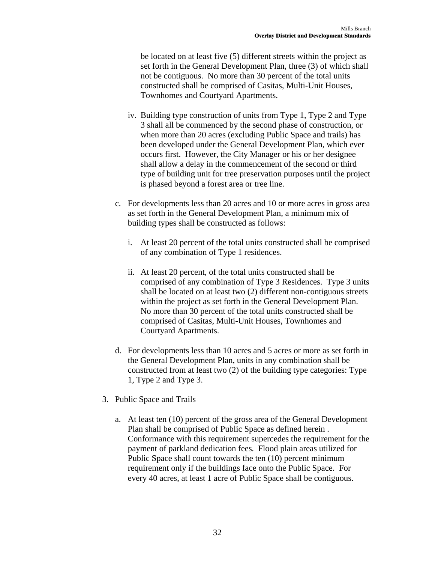be located on at least five (5) different streets within the project as set forth in the General Development Plan, three (3) of which shall not be contiguous. No more than 30 percent of the total units constructed shall be comprised of Casitas, Multi-Unit Houses, Townhomes and Courtyard Apartments.

- iv. Building type construction of units from Type 1, Type 2 and Type 3 shall all be commenced by the second phase of construction, or when more than 20 acres (excluding Public Space and trails) has been developed under the General Development Plan, which ever occurs first. However, the City Manager or his or her designee shall allow a delay in the commencement of the second or third type of building unit for tree preservation purposes until the project is phased beyond a forest area or tree line.
- c. For developments less than 20 acres and 10 or more acres in gross area as set forth in the General Development Plan, a minimum mix of building types shall be constructed as follows:
	- i. At least 20 percent of the total units constructed shall be comprised of any combination of Type 1 residences.
	- ii. At least 20 percent, of the total units constructed shall be comprised of any combination of Type 3 Residences. Type 3 units shall be located on at least two (2) different non-contiguous streets within the project as set forth in the General Development Plan. No more than 30 percent of the total units constructed shall be comprised of Casitas, Multi-Unit Houses, Townhomes and Courtyard Apartments.
- d. For developments less than 10 acres and 5 acres or more as set forth in the General Development Plan, units in any combination shall be constructed from at least two (2) of the building type categories: Type 1, Type 2 and Type 3.
- 3. Public Space and Trails
	- a. At least ten (10) percent of the gross area of the General Development Plan shall be comprised of Public Space as defined herein . Conformance with this requirement supercedes the requirement for the payment of parkland dedication fees. Flood plain areas utilized for Public Space shall count towards the ten (10) percent minimum requirement only if the buildings face onto the Public Space. For every 40 acres, at least 1 acre of Public Space shall be contiguous.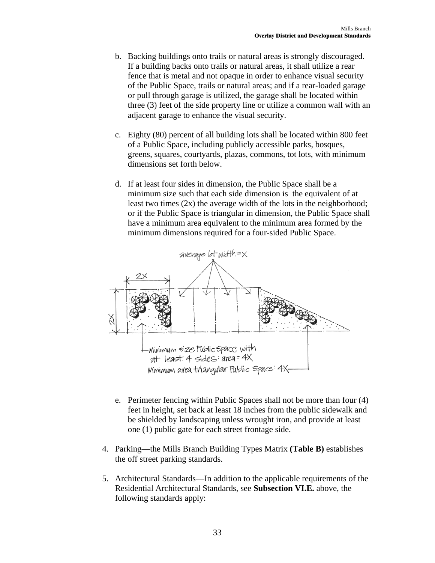- b. Backing buildings onto trails or natural areas is strongly discouraged. If a building backs onto trails or natural areas, it shall utilize a rear fence that is metal and not opaque in order to enhance visual security of the Public Space, trails or natural areas; and if a rear-loaded garage or pull through garage is utilized, the garage shall be located within three (3) feet of the side property line or utilize a common wall with an adjacent garage to enhance the visual security.
- c. Eighty (80) percent of all building lots shall be located within 800 feet of a Public Space, including publicly accessible parks, bosques, greens, squares, courtyards, plazas, commons, tot lots, with minimum dimensions set forth below.
- d. If at least four sides in dimension, the Public Space shall be a minimum size such that each side dimension is the equivalent of at least two times (2x) the average width of the lots in the neighborhood; or if the Public Space is triangular in dimension, the Public Space shall have a minimum area equivalent to the minimum area formed by the minimum dimensions required for a four-sided Public Space.



- e. Perimeter fencing within Public Spaces shall not be more than four (4) feet in height, set back at least 18 inches from the public sidewalk and be shielded by landscaping unless wrought iron, and provide at least one (1) public gate for each street frontage side.
- 4. Parking—the Mills Branch Building Types Matrix **(Table B)** establishes the off street parking standards.
- 5. Architectural Standards—In addition to the applicable requirements of the Residential Architectural Standards, see **Subsection VI.E.** above, the following standards apply: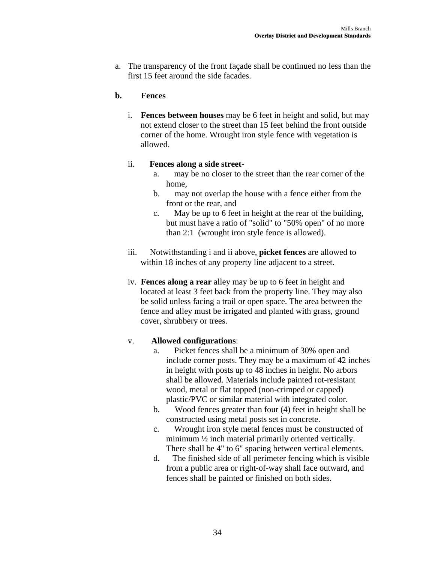a. The transparency of the front façade shall be continued no less than the first 15 feet around the side facades.

### **b. Fences**

i. **Fences between houses** may be 6 feet in height and solid, but may not extend closer to the street than 15 feet behind the front outside corner of the home. Wrought iron style fence with vegetation is allowed.

### ii. **Fences along a side street-**

- a. may be no closer to the street than the rear corner of the home,
- b. may not overlap the house with a fence either from the front or the rear, and
- c. May be up to 6 feet in height at the rear of the building, but must have a ratio of "solid" to "50% open" of no more than 2:1 (wrought iron style fence is allowed).
- iii. Notwithstanding i and ii above, **picket fences** are allowed to within 18 inches of any property line adjacent to a street.
- iv. **Fences along a rear** alley may be up to 6 feet in height and located at least 3 feet back from the property line. They may also be solid unless facing a trail or open space. The area between the fence and alley must be irrigated and planted with grass, ground cover, shrubbery or trees.

### v. **Allowed configurations**:

- a. Picket fences shall be a minimum of 30% open and include corner posts. They may be a maximum of 42 inches in height with posts up to 48 inches in height. No arbors shall be allowed. Materials include painted rot-resistant wood, metal or flat topped (non-crimped or capped) plastic/PVC or similar material with integrated color.
- b. Wood fences greater than four (4) feet in height shall be constructed using metal posts set in concrete.
- c. Wrought iron style metal fences must be constructed of minimum ½ inch material primarily oriented vertically. There shall be 4" to 6" spacing between vertical elements.
- d. The finished side of all perimeter fencing which is visible from a public area or right-of-way shall face outward, and fences shall be painted or finished on both sides.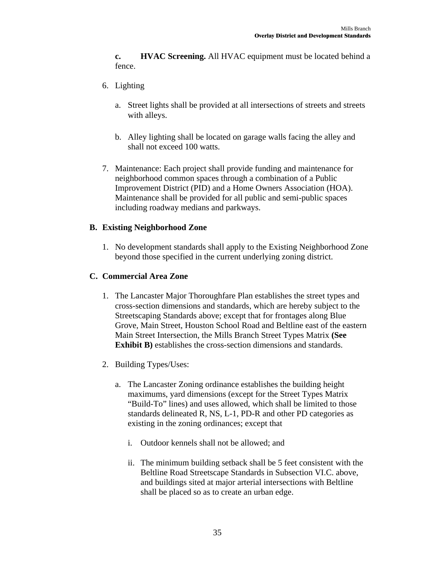**c. HVAC Screening.** All HVAC equipment must be located behind a fence.

- 6. Lighting
	- a. Street lights shall be provided at all intersections of streets and streets with alleys.
	- b. Alley lighting shall be located on garage walls facing the alley and shall not exceed 100 watts.
- 7. Maintenance: Each project shall provide funding and maintenance for neighborhood common spaces through a combination of a Public Improvement District (PID) and a Home Owners Association (HOA). Maintenance shall be provided for all public and semi-public spaces including roadway medians and parkways.

### **B. Existing Neighborhood Zone**

1. No development standards shall apply to the Existing Neighborhood Zone beyond those specified in the current underlying zoning district.

### **C. Commercial Area Zone**

- 1. The Lancaster Major Thoroughfare Plan establishes the street types and cross-section dimensions and standards, which are hereby subject to the Streetscaping Standards above; except that for frontages along Blue Grove, Main Street, Houston School Road and Beltline east of the eastern Main Street Intersection, the Mills Branch Street Types Matrix **(See Exhibit B)** establishes the cross-section dimensions and standards.
- 2. Building Types/Uses:
	- a. The Lancaster Zoning ordinance establishes the building height maximums, yard dimensions (except for the Street Types Matrix "Build-To" lines) and uses allowed, which shall be limited to those standards delineated R, NS, L-1, PD-R and other PD categories as existing in the zoning ordinances; except that
		- i. Outdoor kennels shall not be allowed; and
		- ii. The minimum building setback shall be 5 feet consistent with the Beltline Road Streetscape Standards in Subsection VI.C. above, and buildings sited at major arterial intersections with Beltline shall be placed so as to create an urban edge.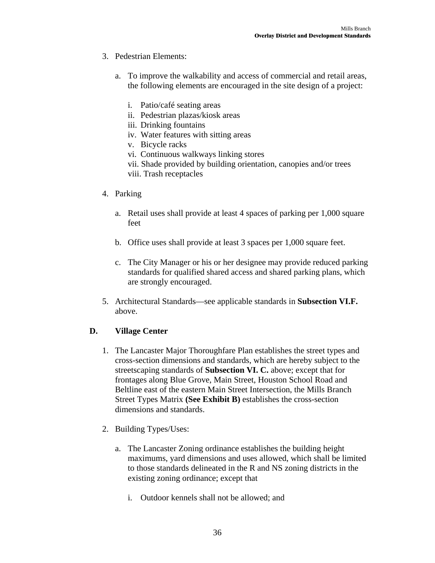- 3. Pedestrian Elements:
	- a. To improve the walkability and access of commercial and retail areas, the following elements are encouraged in the site design of a project:
		- i. Patio/café seating areas
		- ii. Pedestrian plazas/kiosk areas
		- iii. Drinking fountains
		- iv. Water features with sitting areas
		- v. Bicycle racks
		- vi. Continuous walkways linking stores
		- vii. Shade provided by building orientation, canopies and/or trees
		- viii. Trash receptacles
- 4. Parking
	- a. Retail uses shall provide at least 4 spaces of parking per 1,000 square feet
	- b. Office uses shall provide at least 3 spaces per 1,000 square feet.
	- c. The City Manager or his or her designee may provide reduced parking standards for qualified shared access and shared parking plans, which are strongly encouraged.
- 5. Architectural Standards—see applicable standards in **Subsection VI.F.**  above.

### **D. Village Center**

- 1. The Lancaster Major Thoroughfare Plan establishes the street types and cross-section dimensions and standards, which are hereby subject to the streetscaping standards of **Subsection VI. C.** above; except that for frontages along Blue Grove, Main Street, Houston School Road and Beltline east of the eastern Main Street Intersection, the Mills Branch Street Types Matrix **(See Exhibit B)** establishes the cross-section dimensions and standards.
- 2. Building Types/Uses:
	- a. The Lancaster Zoning ordinance establishes the building height maximums, yard dimensions and uses allowed, which shall be limited to those standards delineated in the R and NS zoning districts in the existing zoning ordinance; except that
		- i. Outdoor kennels shall not be allowed; and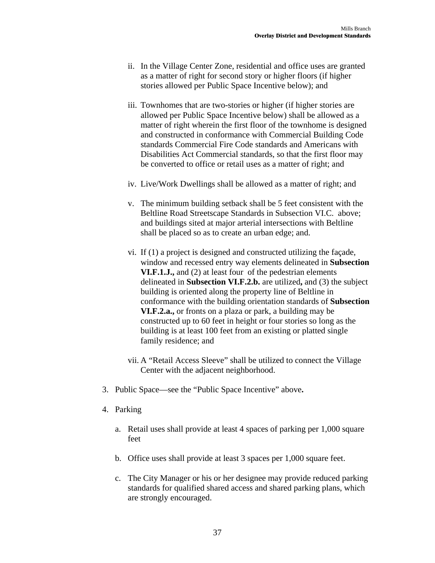- ii. In the Village Center Zone, residential and office uses are granted as a matter of right for second story or higher floors (if higher stories allowed per Public Space Incentive below); and
- iii. Townhomes that are two-stories or higher (if higher stories are allowed per Public Space Incentive below) shall be allowed as a matter of right wherein the first floor of the townhome is designed and constructed in conformance with Commercial Building Code standards Commercial Fire Code standards and Americans with Disabilities Act Commercial standards, so that the first floor may be converted to office or retail uses as a matter of right; and
- iv. Live/Work Dwellings shall be allowed as a matter of right; and
- v. The minimum building setback shall be 5 feet consistent with the Beltline Road Streetscape Standards in Subsection VI.C. above; and buildings sited at major arterial intersections with Beltline shall be placed so as to create an urban edge; and.
- vi. If (1) a project is designed and constructed utilizing the façade, window and recessed entry way elements delineated in **Subsection VI.F.1.J.,** and (2) at least four of the pedestrian elements delineated in **Subsection VI.F.2.b.** are utilized**,** and (3) the subject building is oriented along the property line of Beltline in conformance with the building orientation standards of **Subsection VI.F.2.a.,** or fronts on a plaza or park, a building may be constructed up to 60 feet in height or four stories so long as the building is at least 100 feet from an existing or platted single family residence; and
- vii. A "Retail Access Sleeve" shall be utilized to connect the Village Center with the adjacent neighborhood.
- 3. Public Space—see the "Public Space Incentive" above**.**
- 4. Parking
	- a. Retail uses shall provide at least 4 spaces of parking per 1,000 square feet
	- b. Office uses shall provide at least 3 spaces per 1,000 square feet.
	- c. The City Manager or his or her designee may provide reduced parking standards for qualified shared access and shared parking plans, which are strongly encouraged.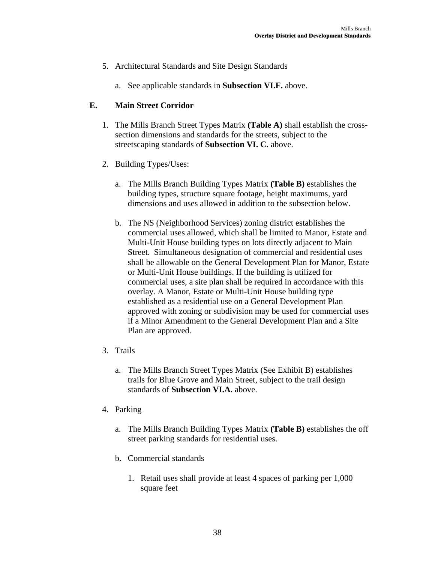- 5. Architectural Standards and Site Design Standards
	- a. See applicable standards in **Subsection VI.F.** above.

### **E. Main Street Corridor**

- 1. The Mills Branch Street Types Matrix **(Table A)** shall establish the crosssection dimensions and standards for the streets, subject to the streetscaping standards of **Subsection VI. C.** above.
- 2. Building Types/Uses:
	- a. The Mills Branch Building Types Matrix **(Table B)** establishes the building types, structure square footage, height maximums, yard dimensions and uses allowed in addition to the subsection below.
	- b. The NS (Neighborhood Services) zoning district establishes the commercial uses allowed, which shall be limited to Manor, Estate and Multi-Unit House building types on lots directly adjacent to Main Street. Simultaneous designation of commercial and residential uses shall be allowable on the General Development Plan for Manor, Estate or Multi-Unit House buildings. If the building is utilized for commercial uses, a site plan shall be required in accordance with this overlay. A Manor, Estate or Multi-Unit House building type established as a residential use on a General Development Plan approved with zoning or subdivision may be used for commercial uses if a Minor Amendment to the General Development Plan and a Site Plan are approved.
- 3. Trails
	- a. The Mills Branch Street Types Matrix (See Exhibit B) establishes trails for Blue Grove and Main Street, subject to the trail design standards of **Subsection VI.A.** above.
- 4. Parking
	- a. The Mills Branch Building Types Matrix **(Table B)** establishes the off street parking standards for residential uses.
	- b. Commercial standards
		- 1. Retail uses shall provide at least 4 spaces of parking per 1,000 square feet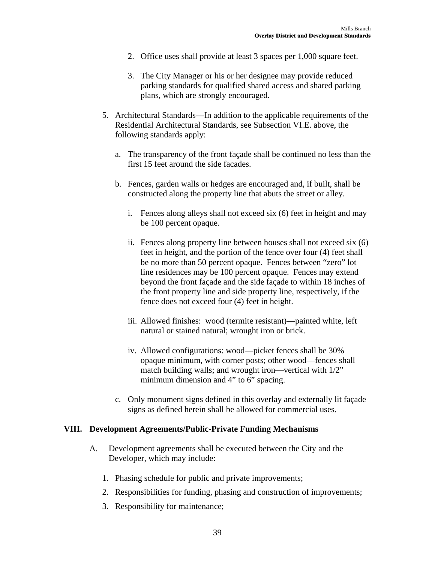- 2. Office uses shall provide at least 3 spaces per 1,000 square feet.
- 3. The City Manager or his or her designee may provide reduced parking standards for qualified shared access and shared parking plans, which are strongly encouraged.
- 5. Architectural Standards—In addition to the applicable requirements of the Residential Architectural Standards, see Subsection VI.E. above, the following standards apply:
	- a. The transparency of the front façade shall be continued no less than the first 15 feet around the side facades.
	- b. Fences, garden walls or hedges are encouraged and, if built, shall be constructed along the property line that abuts the street or alley.
		- i. Fences along alleys shall not exceed six (6) feet in height and may be 100 percent opaque.
		- ii. Fences along property line between houses shall not exceed six (6) feet in height, and the portion of the fence over four (4) feet shall be no more than 50 percent opaque. Fences between "zero" lot line residences may be 100 percent opaque. Fences may extend beyond the front façade and the side façade to within 18 inches of the front property line and side property line, respectively, if the fence does not exceed four (4) feet in height.
		- iii. Allowed finishes: wood (termite resistant)—painted white, left natural or stained natural; wrought iron or brick.
		- iv. Allowed configurations: wood—picket fences shall be 30% opaque minimum, with corner posts; other wood—fences shall match building walls; and wrought iron—vertical with 1/2" minimum dimension and 4" to 6" spacing.
	- c. Only monument signs defined in this overlay and externally lit façade signs as defined herein shall be allowed for commercial uses.

### **VIII. Development Agreements/Public-Private Funding Mechanisms**

- A. Development agreements shall be executed between the City and the Developer, which may include:
	- 1. Phasing schedule for public and private improvements;
	- 2. Responsibilities for funding, phasing and construction of improvements;
	- 3. Responsibility for maintenance;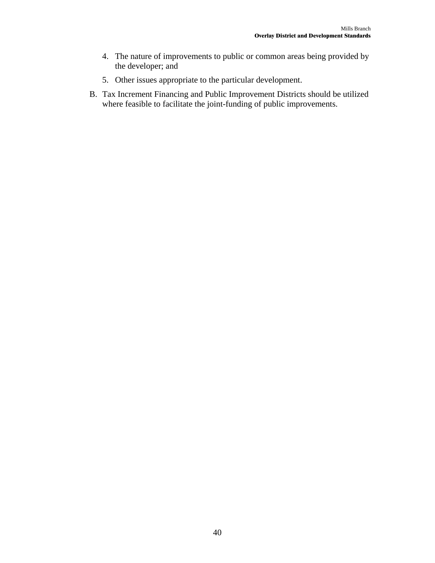- 4. The nature of improvements to public or common areas being provided by the developer; and
- 5. Other issues appropriate to the particular development.
- B. Tax Increment Financing and Public Improvement Districts should be utilized where feasible to facilitate the joint-funding of public improvements.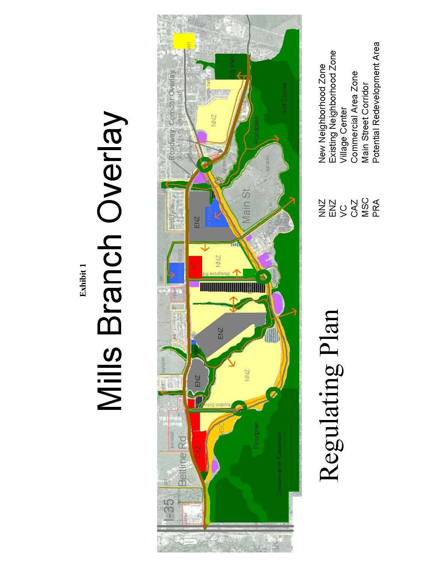**Exhibit 1** Exhibit 1

# **Mills Branch Overlay**



Regulating Plan

New Neighborhood Zone<br>Existing Neighborhood Zone

**NAS CASE**<br>NAS CASE

Potential Redevelopment Area Commercial Area Zone Main Street Corridor Village Center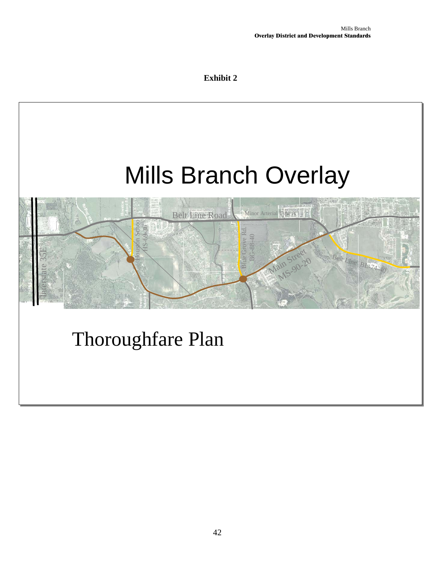### **Exhibit 2**

# Mills Branch Overlay Mills Branch Overlay

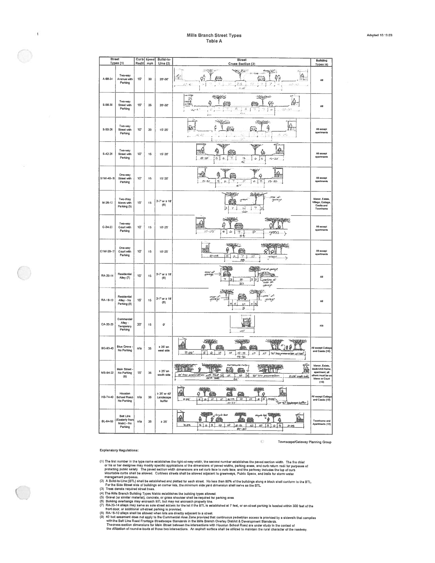| <b>Street</b> | Types (1)                                            |                 | Curb Speed<br>Radil mph | <b>Bulld-to-</b><br>Line(2)         | <b>Street</b><br>Cross Section (3)                                                                                                                                                                                                                                                                                                                                                                   | Building                                                                                                 |
|---------------|------------------------------------------------------|-----------------|-------------------------|-------------------------------------|------------------------------------------------------------------------------------------------------------------------------------------------------------------------------------------------------------------------------------------------------------------------------------------------------------------------------------------------------------------------------------------------------|----------------------------------------------------------------------------------------------------------|
| A-68-34       | Two-way<br>Avenue with<br>Parking                    | 15'             | 30                      | 20'-30"                             | $-444$<br><b>The Contract of the Contract of the Contract of the Contract of the Contract of The Contract of The Contract of The Contract of The Contract of The Contract of The Contract of The Contract of The Contract of The Contract </b><br><b>RANGER</b><br>$-1 - 4 + 6 = -1$<br>Ą.<br>φĄ<br>ç<br>$\boldsymbol{z}$<br>2.8<br>$\ell\mathcal{G}$<br>42.64<br>⇒ j<br>85<br>$22 - 12$<br>$\leq$ F | Types (4)<br>All                                                                                         |
| \$-56-30      | Two-way<br>Street with<br>Parking                    | 15'             | 25                      | 20'-30"                             | پوهند<br>آرام<br>化学区<br>n:<br>$\mathbb{E}$<br>Ŵ<br>面望<br>٥<br>ஊ<br>$\Delta g$ - $\bar{h}$ !<br>画<br>ń.<br>$555 - 37$<br>ΙF<br>š                                                                                                                                                                                                                                                                      | All                                                                                                      |
| \$-50-26      | Two-way<br>Street with<br>Parking                    | 10'             | 20                      | $15 - 25$                           | $\rightarrow$<br><b>SENTEN</b><br>h<br>₿.<br>q<br>فتنط<br><b>Extra</b><br>送却<br>ð.<br>$\mathcal{F}^{\mathcal{F}^{\mathcal{F}}}_{\mathcal{F}}$<br>ğ.,<br>Sž.                                                                                                                                                                                                                                          | All except<br>speriments                                                                                 |
| $S-42-20$     | Two-way<br>Street with<br>Parking                    | 10'             | 15                      | 15'-20"                             | <b>WARRY ARMS</b><br><b>huf</b><br>Å<br>tagan<br><b>Fritz</b><br>$15 - 20$<br>e.J<br>$\mathcal{C}$<br>$\overline{\tau}$<br>12<br>ı<br>Jσ<br>$-20$<br>42                                                                                                                                                                                                                                              | All except<br>spartments                                                                                 |
| S1W-40-18     | One-way<br>Street with<br>Parking                    | 10"             | 15                      | 15'-20"                             | <b>WAR</b><br><u>ie.</u><br>臧<br>ė<br><b>LET</b><br>$\mathcal{L}_{\tau}$<br>$5 - 25$<br>s.<br>ç,<br>$15 - 22$<br>ı<br>$\mu$<br>47                                                                                                                                                                                                                                                                    | All except<br>spertments                                                                                 |
| $M - 26 - 12$ | Two-Way<br>Mews with<br>Parking (5)                  | 15'             | 15                      | $3-7$ or 2 16<br>(6)                | 烏<br>μë,<br>شهر اینویور<br>guen yo<br>مجمعتين<br>行为<br>l3 !<br>7 <sup>1</sup><br>7<br>lзl<br>$\mathcal{L}^{\pm}$<br>$\overline{\phantom{a}}$                                                                                                                                                                                                                                                         | Manor, Estate,<br>Village, Cottage<br>Cesits and<br>Townhome                                             |
| $C-34-23$     | Two-way<br>Court with<br>Parking                     | 10 <sup>°</sup> | 15                      | $10' - 25'$                         | SHIRK<br><b>SENTENCE</b><br>ଈ<br><b>FELTI</b><br>$10 - 25$<br>6<br>V,<br>s,<br>$\overline{\mathcal{L}}$<br>green<br>≻<br>34                                                                                                                                                                                                                                                                          | All except<br>apartments                                                                                 |
| C1W-28-17     | One-way<br>Court with<br>Parking                     | 10 <sup>t</sup> | 15                      | $10 - 25$                           | $\sum_{i=1}^{n}$<br>送出来的<br>$\frac{1}{2}$<br>nG<br>q<br>☎<br>٩<br>$0 - 5$<br>회<br>$\mathcal{L}$ .<br>7<br>12<br>mreit<br>↘<br>28                                                                                                                                                                                                                                                                     | All sucepi<br>spartmente                                                                                 |
| RA-20-14      | Residential<br>Alley (7)                             | 15'             | 15                      | $3 - 7$ or $\ge 16$<br>(6)          | 菹<br><b>SALE TO AT OF OWNER</b><br>nsur af<br>garage<br>œ<br>F.<br>7<br><b>32</b><br>13<br>newithing and<br>oriented<br>н<br>side<br>$\overline{2}$<br>gBrayt.                                                                                                                                                                                                                                       | All                                                                                                      |
| RA-18-10      | Residential<br>Alley - No<br>Parking (B)             | 15'             | 15                      | $3 - 7$ or $\geq 16$<br>(6)         | 动物<br>さ<br>FUC.<br>servi al<br><b>From</b><br>मध्यम त्वे<br>नुभाषपुर<br>garage<br>Y.<br>٤<br>4<br>$1\sigma$<br>s<br>B                                                                                                                                                                                                                                                                                | All                                                                                                      |
| CA-20-20      | Commercial<br>Alley -<br>Temporary<br>Parking        | $20^{\circ}$    | 15                      | œ                                   | Σ<br>四五<br>20                                                                                                                                                                                                                                                                                                                                                                                        | n/a                                                                                                      |
| BG-93-40      | <b>Blue Grove</b><br>No Parking                      | n/a             | 35                      | 2 25' on<br>west aide               | SWS-<br><b>SWARE</b><br>W<br>ô.<br>dill II.<br>a m<br>$\geq$ 16'<br>÷<br>"<br>J0<br>$\mathfrak{c}$<br>$ C- C $ $ O $ $ O $ $ O $ $ O $ $ O $<br>-1<br>$73 - 76$                                                                                                                                                                                                                                      | All except Cottage<br>and Casila (10)                                                                    |
| MS-94-22      | <b>Main Street</b><br>No Parking<br>(9)              | 15'             | 35                      | 2 25' on<br>soutin side             | Plano<br>tavte e<br>ъ<br>區<br>G<br>Ŧ<br>Œ<br>ור דו<br>J<br>Tres a<br>$rac{178}{(100)^{16}-3446}$<br>ю<br>ю<br>녝<br>3d' firm presentations<br><u> 225 and ade</u><br>1£                                                                                                                                                                                                                               | Manor, Estate,<br><b>Multi-Unit Home</b><br>spectment; all<br>others must be or<br>Mews or Court<br>(10) |
| HS-74-40      | Houston<br><b>School Road</b><br>No Parking          | n/s             | 35                      | ≥ 25' or 40'<br>Landscape<br>buffer | 全學<br>業<br>当期注<br>飍<br>k<br>ø<br>画<br>4<br>$1/2 - 1/5$<br>$\overline{10}$<br>1/2<br>ESS PRESS COMPANY ENTER<br>$-225$<br><u>a</u><br>r<br>S.<br>КC.<br>$7 + -77$                                                                                                                                                                                                                                     | All except Cottage<br>and Casila (10)                                                                    |
| BL-84-50      | Belt Line<br>(Easterly from<br>Main) - No<br>Parking | n/a             | 35                      | $\geq 25$                           | معا ما برسام التحقيق<br><b>CITY</b><br>싎<br>$\Lambda$<br>Ŷæ<br>4<br>565<br>10   10<br>2.25<br>65<br><u>lærs</u><br>10105<br>225<br>81-87                                                                                                                                                                                                                                                             | Townhome and<br>Apertments (10)                                                                          |

Townscape/Gateway Planning Group

 $\mathbbm{C}$ 

**Explanatory Regulations:** 

- (1) The first number in the type name establishes the right-of-way width, the second number establishes the paved section width. The fire chief<br>or his or her designee may modify specific applications of the dimensions of p
- 
- 
- 
- 
- 
- 
- Mountable curis shall be allowed. Curisies strets shall be allowed adjacent to greeways, Public Space, and traits for storm water<br>
management purposes.<br>
The stabilistic state is stated in the stabilistic and platted for ea

 $\bigcirc$